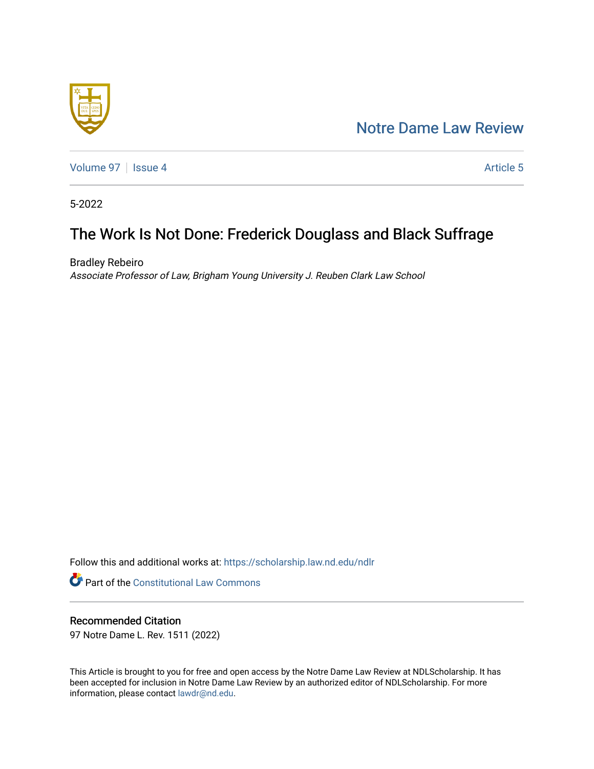## [Notre Dame Law Review](https://scholarship.law.nd.edu/ndlr)



[Volume 97](https://scholarship.law.nd.edu/ndlr/vol97) | [Issue 4](https://scholarship.law.nd.edu/ndlr/vol97/iss4) Article 5

5-2022

# The Work Is Not Done: Frederick Douglass and Black Suffrage

Bradley Rebeiro Associate Professor of Law, Brigham Young University J. Reuben Clark Law School

Follow this and additional works at: [https://scholarship.law.nd.edu/ndlr](https://scholarship.law.nd.edu/ndlr?utm_source=scholarship.law.nd.edu%2Fndlr%2Fvol97%2Fiss4%2F5&utm_medium=PDF&utm_campaign=PDFCoverPages)

**Part of the Constitutional Law Commons** 

## Recommended Citation

97 Notre Dame L. Rev. 1511 (2022)

This Article is brought to you for free and open access by the Notre Dame Law Review at NDLScholarship. It has been accepted for inclusion in Notre Dame Law Review by an authorized editor of NDLScholarship. For more information, please contact [lawdr@nd.edu.](mailto:lawdr@nd.edu)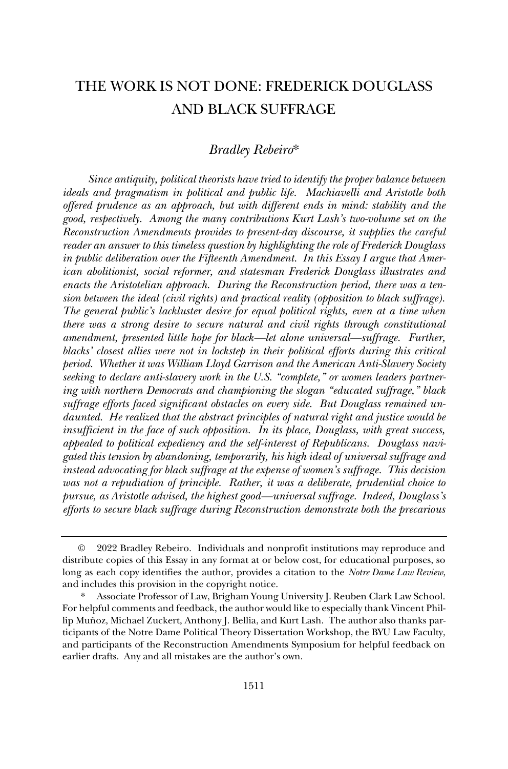## THE WORK IS NOT DONE: FREDERICK DOUGLASS AND BLACK SUFFRAGE

## *Bradley Rebeiro*\*

*Since antiquity, political theorists have tried to identify the proper balance between ideals and pragmatism in political and public life. Machiavelli and Aristotle both offered prudence as an approach, but with different ends in mind: stability and the good, respectively. Among the many contributions Kurt Lash's two-volume set on the Reconstruction Amendments provides to present-day discourse, it supplies the careful reader an answer to this timeless question by highlighting the role of Frederick Douglass in public deliberation over the Fifteenth Amendment. In this Essay I argue that American abolitionist, social reformer, and statesman Frederick Douglass illustrates and enacts the Aristotelian approach. During the Reconstruction period, there was a tension between the ideal (civil rights) and practical reality (opposition to black suffrage). The general public's lackluster desire for equal political rights, even at a time when there was a strong desire to secure natural and civil rights through constitutional amendment, presented little hope for black—let alone universal—suffrage. Further, blacks' closest allies were not in lockstep in their political efforts during this critical period. Whether it was William Lloyd Garrison and the American Anti-Slavery Society seeking to declare anti-slavery work in the U.S. "complete," or women leaders partnering with northern Democrats and championing the slogan "educated suffrage," black suffrage efforts faced significant obstacles on every side. But Douglass remained undaunted. He realized that the abstract principles of natural right and justice would be insufficient in the face of such opposition. In its place, Douglass, with great success, appealed to political expediency and the self-interest of Republicans. Douglass navigated this tension by abandoning, temporarily, his high ideal of universal suffrage and instead advocating for black suffrage at the expense of women's suffrage. This decision was not a repudiation of principle. Rather, it was a deliberate, prudential choice to pursue, as Aristotle advised, the highest good—universal suffrage. Indeed, Douglass's efforts to secure black suffrage during Reconstruction demonstrate both the precarious* 

<sup>©</sup> 2022 Bradley Rebeiro. Individuals and nonprofit institutions may reproduce and distribute copies of this Essay in any format at or below cost, for educational purposes, so long as each copy identifies the author, provides a citation to the *Notre Dame Law Review*, and includes this provision in the copyright notice.

Associate Professor of Law, Brigham Young University J. Reuben Clark Law School. For helpful comments and feedback, the author would like to especially thank Vincent Phillip Muñoz, Michael Zuckert, Anthony J. Bellia, and Kurt Lash. The author also thanks participants of the Notre Dame Political Theory Dissertation Workshop, the BYU Law Faculty, and participants of the Reconstruction Amendments Symposium for helpful feedback on earlier drafts. Any and all mistakes are the author's own.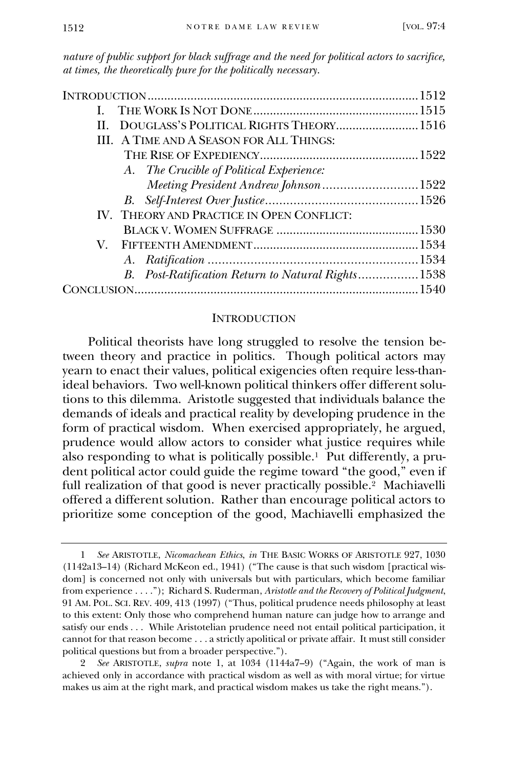*nature of public support for black suffrage and the need for political actors to sacrifice, at times, the theoretically pure for the politically necessary.* 

| L                                                  |  |
|----------------------------------------------------|--|
| DOUGLASS'S POLITICAL RIGHTS THEORY 1516<br>$\Pi$ . |  |
| III. A TIME AND A SEASON FOR ALL THINGS:           |  |
|                                                    |  |
| A. The Crucible of Political Experience:           |  |
| Meeting President Andrew Johnson 1522              |  |
|                                                    |  |
| IV. THEORY AND PRACTICE IN OPEN CONFLICT:          |  |
|                                                    |  |
|                                                    |  |
|                                                    |  |
| B. Post-Ratification Return to Natural Rights1538  |  |
|                                                    |  |
|                                                    |  |

#### **INTRODUCTION**

Political theorists have long struggled to resolve the tension between theory and practice in politics. Though political actors may yearn to enact their values, political exigencies often require less-thanideal behaviors. Two well-known political thinkers offer different solutions to this dilemma. Aristotle suggested that individuals balance the demands of ideals and practical reality by developing prudence in the form of practical wisdom. When exercised appropriately, he argued, prudence would allow actors to consider what justice requires while also responding to what is politically possible.<sup>1</sup> Put differently, a prudent political actor could guide the regime toward "the good," even if full realization of that good is never practically possible.<sup>2</sup> Machiavelli offered a different solution. Rather than encourage political actors to prioritize some conception of the good, Machiavelli emphasized the

<sup>1</sup> *See* ARISTOTLE, *Nicomachean Ethics*, *in* THE BASIC WORKS OF ARISTOTLE 927, 1030 (1142a13–14) (Richard McKeon ed., 1941) ("The cause is that such wisdom [practical wisdom] is concerned not only with universals but with particulars, which become familiar from experience . . . ."); Richard S. Ruderman, *Aristotle and the Recovery of Political Judgment*, 91 AM. POL. SCI. REV. 409, 413 (1997) ("Thus, political prudence needs philosophy at least to this extent: Only those who comprehend human nature can judge how to arrange and satisfy our ends . . . While Aristotelian prudence need not entail political participation, it cannot for that reason become . . . a strictly apolitical or private affair. It must still consider political questions but from a broader perspective.").

<sup>2</sup> *See* ARISTOTLE, *supra* note 1, at 1034 (1144a7–9) ("Again, the work of man is achieved only in accordance with practical wisdom as well as with moral virtue; for virtue makes us aim at the right mark, and practical wisdom makes us take the right means.").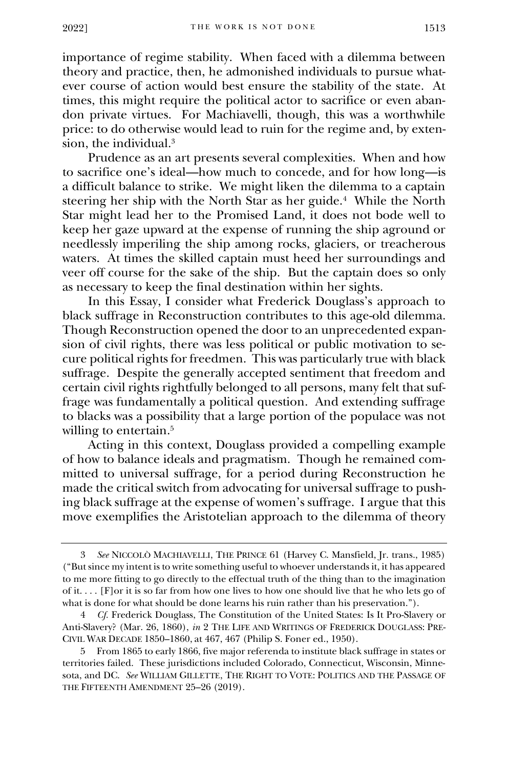importance of regime stability. When faced with a dilemma between theory and practice, then, he admonished individuals to pursue whatever course of action would best ensure the stability of the state. At times, this might require the political actor to sacrifice or even abandon private virtues. For Machiavelli, though, this was a worthwhile price: to do otherwise would lead to ruin for the regime and, by extension, the individual.<sup>3</sup>

Prudence as an art presents several complexities. When and how to sacrifice one's ideal—how much to concede, and for how long—is a difficult balance to strike. We might liken the dilemma to a captain steering her ship with the North Star as her guide.<sup>4</sup> While the North Star might lead her to the Promised Land, it does not bode well to keep her gaze upward at the expense of running the ship aground or needlessly imperiling the ship among rocks, glaciers, or treacherous waters. At times the skilled captain must heed her surroundings and veer off course for the sake of the ship. But the captain does so only as necessary to keep the final destination within her sights.

In this Essay, I consider what Frederick Douglass's approach to black suffrage in Reconstruction contributes to this age-old dilemma. Though Reconstruction opened the door to an unprecedented expansion of civil rights, there was less political or public motivation to secure political rights for freedmen. This was particularly true with black suffrage. Despite the generally accepted sentiment that freedom and certain civil rights rightfully belonged to all persons, many felt that suffrage was fundamentally a political question. And extending suffrage to blacks was a possibility that a large portion of the populace was not willing to entertain.<sup>5</sup>

Acting in this context, Douglass provided a compelling example of how to balance ideals and pragmatism. Though he remained committed to universal suffrage, for a period during Reconstruction he made the critical switch from advocating for universal suffrage to pushing black suffrage at the expense of women's suffrage. I argue that this move exemplifies the Aristotelian approach to the dilemma of theory

<sup>3</sup> *See* NICCOLÒ MACHIAVELLI, THE PRINCE 61 (Harvey C. Mansfield, Jr. trans., 1985) ("But since my intent is to write something useful to whoever understands it, it has appeared to me more fitting to go directly to the effectual truth of the thing than to the imagination of it. . . . [F]or it is so far from how one lives to how one should live that he who lets go of what is done for what should be done learns his ruin rather than his preservation.").

<sup>4</sup> *Cf.* Frederick Douglass, The Constitution of the United States: Is It Pro-Slavery or Anti-Slavery? (Mar. 26, 1860), *in* 2 THE LIFE AND WRITINGS OF FREDERICK DOUGLASS: PRE-CIVIL WAR DECADE 1850–1860, at 467, 467 (Philip S. Foner ed., 1950).

<sup>5</sup> From 1865 to early 1866, five major referenda to institute black suffrage in states or territories failed. These jurisdictions included Colorado, Connecticut, Wisconsin, Minnesota, and DC. *See* WILLIAM GILLETTE, THE RIGHT TO VOTE: POLITICS AND THE PASSAGE OF THE FIFTEENTH AMENDMENT 25–26 (2019).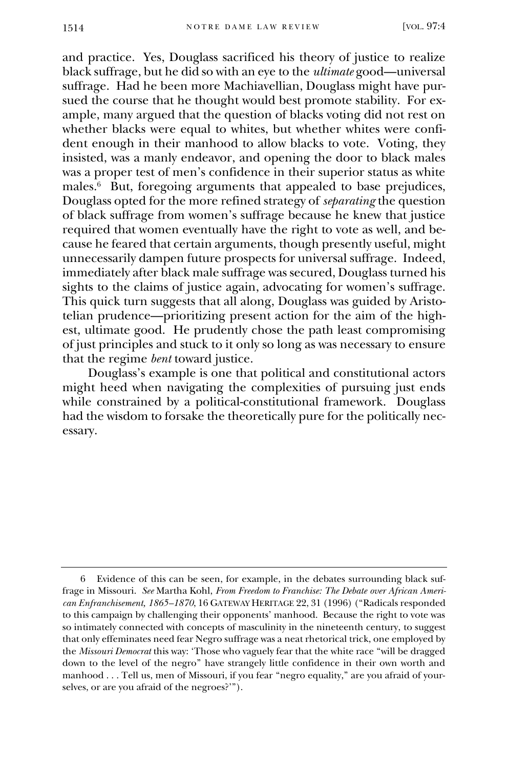and practice. Yes, Douglass sacrificed his theory of justice to realize black suffrage, but he did so with an eye to the *ultimate* good—universal suffrage. Had he been more Machiavellian, Douglass might have pursued the course that he thought would best promote stability. For example, many argued that the question of blacks voting did not rest on whether blacks were equal to whites, but whether whites were confident enough in their manhood to allow blacks to vote. Voting, they insisted, was a manly endeavor, and opening the door to black males was a proper test of men's confidence in their superior status as white males.<sup>6</sup> But, foregoing arguments that appealed to base prejudices, Douglass opted for the more refined strategy of *separating* the question of black suffrage from women's suffrage because he knew that justice required that women eventually have the right to vote as well, and because he feared that certain arguments, though presently useful, might unnecessarily dampen future prospects for universal suffrage. Indeed, immediately after black male suffrage was secured, Douglass turned his sights to the claims of justice again, advocating for women's suffrage. This quick turn suggests that all along, Douglass was guided by Aristotelian prudence—prioritizing present action for the aim of the highest, ultimate good. He prudently chose the path least compromising of just principles and stuck to it only so long as was necessary to ensure that the regime *bent* toward justice.

Douglass's example is one that political and constitutional actors might heed when navigating the complexities of pursuing just ends while constrained by a political-constitutional framework. Douglass had the wisdom to forsake the theoretically pure for the politically necessary.

Evidence of this can be seen, for example, in the debates surrounding black suffrage in Missouri. *See* Martha Kohl, *From Freedom to Franchise: The Debate over African American Enfranchisement, 1865–1870*, 16 GATEWAY HERITAGE 22, 31 (1996) ("Radicals responded to this campaign by challenging their opponents' manhood. Because the right to vote was so intimately connected with concepts of masculinity in the nineteenth century, to suggest that only effeminates need fear Negro suffrage was a neat rhetorical trick, one employed by the *Missouri Democrat* this way: 'Those who vaguely fear that the white race "will be dragged down to the level of the negro" have strangely little confidence in their own worth and manhood . . . Tell us, men of Missouri, if you fear "negro equality," are you afraid of yourselves, or are you afraid of the negroes?'").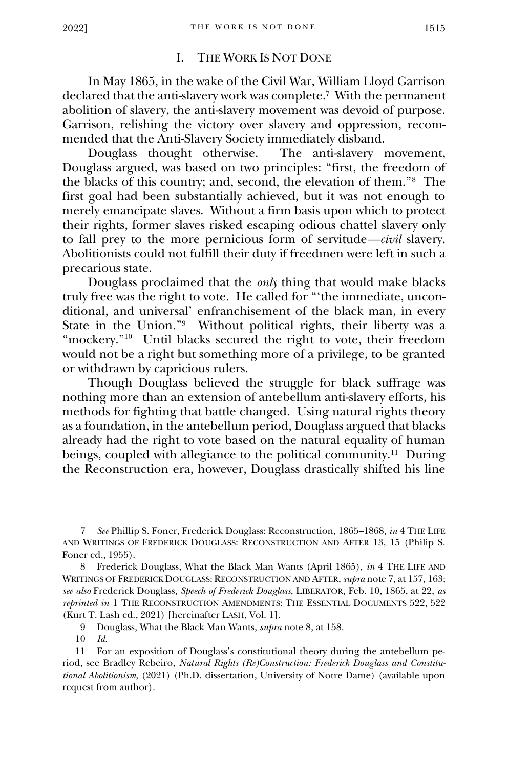#### I. THE WORK IS NOT DONE

In May 1865, in the wake of the Civil War, William Lloyd Garrison declared that the anti-slavery work was complete.<sup>7</sup> With the permanent abolition of slavery, the anti-slavery movement was devoid of purpose. Garrison, relishing the victory over slavery and oppression, recommended that the Anti-Slavery Society immediately disband.

Douglass thought otherwise. The anti-slavery movement, Douglass argued, was based on two principles: "first, the freedom of the blacks of this country; and, second, the elevation of them."<sup>8</sup> The first goal had been substantially achieved, but it was not enough to merely emancipate slaves. Without a firm basis upon which to protect their rights, former slaves risked escaping odious chattel slavery only to fall prey to the more pernicious form of servitude*—civil* slavery. Abolitionists could not fulfill their duty if freedmen were left in such a precarious state.

Douglass proclaimed that the *only* thing that would make blacks truly free was the right to vote. He called for "'the immediate, unconditional, and universal' enfranchisement of the black man, in every State in the Union."<sup>9</sup> Without political rights, their liberty was a "mockery."<sup>10</sup> Until blacks secured the right to vote, their freedom would not be a right but something more of a privilege, to be granted or withdrawn by capricious rulers.

Though Douglass believed the struggle for black suffrage was nothing more than an extension of antebellum anti-slavery efforts, his methods for fighting that battle changed. Using natural rights theory as a foundation, in the antebellum period, Douglass argued that blacks already had the right to vote based on the natural equality of human beings, coupled with allegiance to the political community.<sup>11</sup> During the Reconstruction era, however, Douglass drastically shifted his line

<sup>7</sup> *See* Phillip S. Foner, Frederick Douglass: Reconstruction, 1865–1868, *in* 4 THE LIFE AND WRITINGS OF FREDERICK DOUGLASS: RECONSTRUCTION AND AFTER 13, 15 (Philip S. Foner ed., 1955).

<sup>8</sup> Frederick Douglass, What the Black Man Wants (April 1865), *in* 4 THE LIFE AND WRITINGS OF FREDERICK DOUGLASS: RECONSTRUCTION AND AFTER, *supra* note 7, at 157, 163; *see also* Frederick Douglass, *Speech of Frederick Douglass*, LIBERATOR, Feb. 10, 1865, at 22, *as reprinted in* 1 THE RECONSTRUCTION AMENDMENTS: THE ESSENTIAL DOCUMENTS 522, 522 (Kurt T. Lash ed., 2021) [hereinafter LASH, Vol. 1].

<sup>9</sup> Douglass, What the Black Man Wants, *supra* note 8, at 158.

<sup>10</sup> *Id.*

<sup>11</sup> For an exposition of Douglass's constitutional theory during the antebellum period, see Bradley Rebeiro, *Natural Rights (Re)Construction: Frederick Douglass and Constitutional Abolitionism*, (2021) (Ph.D. dissertation, University of Notre Dame) (available upon request from author).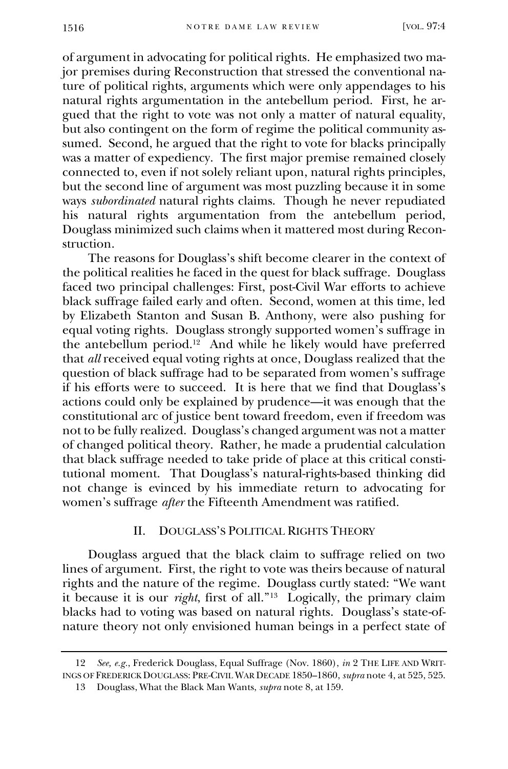of argument in advocating for political rights. He emphasized two major premises during Reconstruction that stressed the conventional nature of political rights, arguments which were only appendages to his natural rights argumentation in the antebellum period. First, he argued that the right to vote was not only a matter of natural equality, but also contingent on the form of regime the political community assumed. Second, he argued that the right to vote for blacks principally was a matter of expediency. The first major premise remained closely connected to, even if not solely reliant upon, natural rights principles, but the second line of argument was most puzzling because it in some ways *subordinated* natural rights claims. Though he never repudiated his natural rights argumentation from the antebellum period, Douglass minimized such claims when it mattered most during Reconstruction.

The reasons for Douglass's shift become clearer in the context of the political realities he faced in the quest for black suffrage. Douglass faced two principal challenges: First, post-Civil War efforts to achieve black suffrage failed early and often. Second, women at this time, led by Elizabeth Stanton and Susan B. Anthony, were also pushing for equal voting rights. Douglass strongly supported women's suffrage in the antebellum period.<sup>12</sup> And while he likely would have preferred that *all* received equal voting rights at once, Douglass realized that the question of black suffrage had to be separated from women's suffrage if his efforts were to succeed. It is here that we find that Douglass's actions could only be explained by prudence—it was enough that the constitutional arc of justice bent toward freedom, even if freedom was not to be fully realized. Douglass's changed argument was not a matter of changed political theory. Rather, he made a prudential calculation that black suffrage needed to take pride of place at this critical constitutional moment. That Douglass's natural-rights-based thinking did not change is evinced by his immediate return to advocating for women's suffrage *after* the Fifteenth Amendment was ratified.

## II. DOUGLASS'S POLITICAL RIGHTS THEORY

Douglass argued that the black claim to suffrage relied on two lines of argument. First, the right to vote was theirs because of natural rights and the nature of the regime. Douglass curtly stated: "We want it because it is our *right*, first of all."<sup>13</sup> Logically, the primary claim blacks had to voting was based on natural rights. Douglass's state-ofnature theory not only envisioned human beings in a perfect state of

<sup>12</sup> *See, e.g.*, Frederick Douglass, Equal Suffrage (Nov. 1860), *in* 2 THE LIFE AND WRIT-INGS OF FREDERICK DOUGLASS: PRE-CIVIL WAR DECADE 1850–1860, *supra* note 4, at 525, 525.

<sup>13</sup> Douglass, What the Black Man Wants, *supra* note 8, at 159.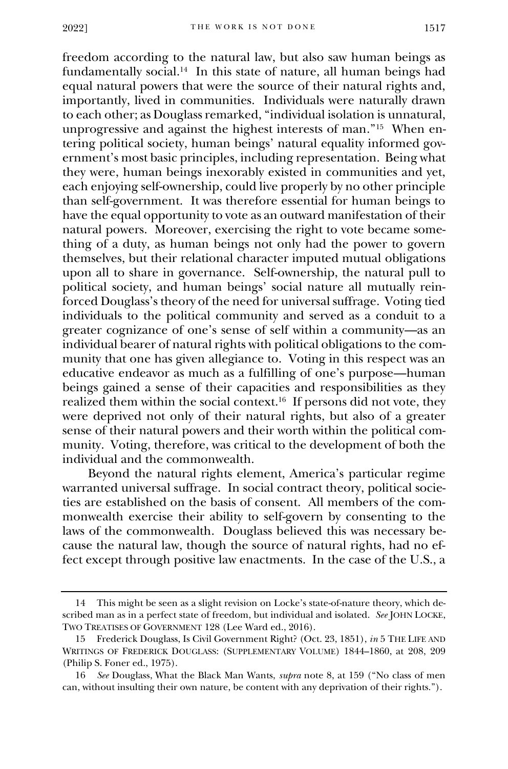freedom according to the natural law, but also saw human beings as fundamentally social.<sup>14</sup> In this state of nature, all human beings had equal natural powers that were the source of their natural rights and, importantly, lived in communities. Individuals were naturally drawn to each other; as Douglass remarked, "individual isolation is unnatural, unprogressive and against the highest interests of man." 15 When entering political society, human beings' natural equality informed government's most basic principles, including representation. Being what they were, human beings inexorably existed in communities and yet, each enjoying self-ownership, could live properly by no other principle than self-government. It was therefore essential for human beings to have the equal opportunity to vote as an outward manifestation of their natural powers. Moreover, exercising the right to vote became something of a duty, as human beings not only had the power to govern themselves, but their relational character imputed mutual obligations upon all to share in governance. Self-ownership, the natural pull to political society, and human beings' social nature all mutually reinforced Douglass's theory of the need for universal suffrage. Voting tied individuals to the political community and served as a conduit to a greater cognizance of one's sense of self within a community—as an individual bearer of natural rights with political obligations to the community that one has given allegiance to. Voting in this respect was an educative endeavor as much as a fulfilling of one's purpose—human beings gained a sense of their capacities and responsibilities as they realized them within the social context.<sup>16</sup> If persons did not vote, they were deprived not only of their natural rights, but also of a greater sense of their natural powers and their worth within the political community. Voting, therefore, was critical to the development of both the individual and the commonwealth.

Beyond the natural rights element, America's particular regime warranted universal suffrage. In social contract theory, political societies are established on the basis of consent. All members of the commonwealth exercise their ability to self-govern by consenting to the laws of the commonwealth. Douglass believed this was necessary because the natural law, though the source of natural rights, had no effect except through positive law enactments. In the case of the U.S., a

<sup>14</sup> This might be seen as a slight revision on Locke's state-of-nature theory, which described man as in a perfect state of freedom, but individual and isolated. *See* JOHN LOCKE, TWO TREATISES OF GOVERNMENT 128 (Lee Ward ed., 2016).

<sup>15</sup> Frederick Douglass, Is Civil Government Right? (Oct. 23, 1851), *in* 5 THE LIFE AND WRITINGS OF FREDERICK DOUGLASS: (SUPPLEMENTARY VOLUME) 1844–1860, at 208, 209 (Philip S. Foner ed., 1975).

<sup>16</sup> *See* Douglass, What the Black Man Wants, *supra* note 8, at 159 ("No class of men can, without insulting their own nature, be content with any deprivation of their rights.").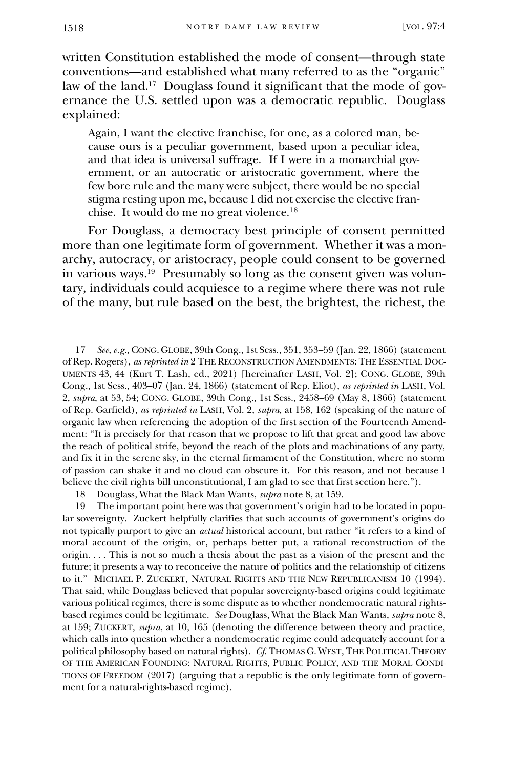written Constitution established the mode of consent—through state conventions—and established what many referred to as the "organic" law of the land.<sup>17</sup> Douglass found it significant that the mode of governance the U.S. settled upon was a democratic republic. Douglass explained:

Again, I want the elective franchise, for one, as a colored man, because ours is a peculiar government, based upon a peculiar idea, and that idea is universal suffrage. If I were in a monarchial government, or an autocratic or aristocratic government, where the few bore rule and the many were subject, there would be no special stigma resting upon me, because I did not exercise the elective franchise. It would do me no great violence.<sup>18</sup>

For Douglass, a democracy best principle of consent permitted more than one legitimate form of government. Whether it was a monarchy, autocracy, or aristocracy, people could consent to be governed in various ways.<sup>19</sup> Presumably so long as the consent given was voluntary, individuals could acquiesce to a regime where there was not rule of the many, but rule based on the best, the brightest, the richest, the

<sup>17</sup> *See, e.g.*, CONG. GLOBE, 39th Cong., 1st Sess., 351, 353–59 (Jan. 22, 1866) (statement of Rep. Rogers), *as reprinted in* 2 THE RECONSTRUCTION AMENDMENTS: THE ESSENTIAL DOC-UMENTS 43, 44 (Kurt T. Lash, ed., 2021) [hereinafter LASH, Vol. 2]; CONG. GLOBE, 39th Cong., 1st Sess., 403–07 (Jan. 24, 1866) (statement of Rep. Eliot), *as reprinted in* LASH, Vol. 2, *supra*, at 53, 54; CONG. GLOBE, 39th Cong., 1st Sess., 2458–69 (May 8, 1866) (statement of Rep. Garfield), *as reprinted in* LASH, Vol. 2, *supra*, at 158, 162 (speaking of the nature of organic law when referencing the adoption of the first section of the Fourteenth Amendment: "It is precisely for that reason that we propose to lift that great and good law above the reach of political strife, beyond the reach of the plots and machinations of any party, and fix it in the serene sky, in the eternal firmament of the Constitution, where no storm of passion can shake it and no cloud can obscure it. For this reason, and not because I believe the civil rights bill unconstitutional, I am glad to see that first section here.").

<sup>18</sup> Douglass, What the Black Man Wants, *supra* note 8, at 159.

<sup>19</sup> The important point here was that government's origin had to be located in popular sovereignty. Zuckert helpfully clarifies that such accounts of government's origins do not typically purport to give an *actual* historical account, but rather "it refers to a kind of moral account of the origin, or, perhaps better put, a rational reconstruction of the origin. . . . This is not so much a thesis about the past as a vision of the present and the future; it presents a way to reconceive the nature of politics and the relationship of citizens to it." MICHAEL P. ZUCKERT, NATURAL RIGHTS AND THE NEW REPUBLICANISM 10 (1994). That said, while Douglass believed that popular sovereignty-based origins could legitimate various political regimes, there is some dispute as to whether nondemocratic natural rightsbased regimes could be legitimate. *See* Douglass, What the Black Man Wants, *supra* note 8, at 159; ZUCKERT, *supra*, at 10, 165 (denoting the difference between theory and practice, which calls into question whether a nondemocratic regime could adequately account for a political philosophy based on natural rights). *Cf*. THOMAS G. WEST, THE POLITICAL THEORY OF THE AMERICAN FOUNDING: NATURAL RIGHTS, PUBLIC POLICY, AND THE MORAL CONDI-TIONS OF FREEDOM (2017) (arguing that a republic is the only legitimate form of government for a natural-rights-based regime).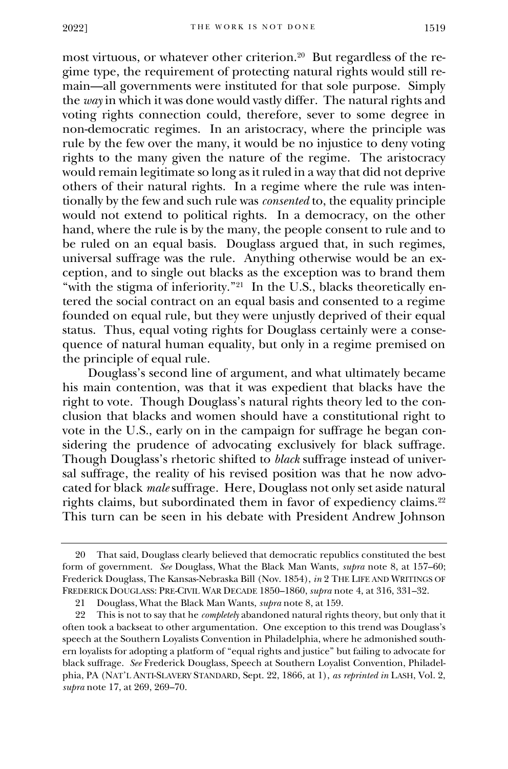most virtuous, or whatever other criterion.<sup>20</sup> But regardless of the regime type, the requirement of protecting natural rights would still remain—all governments were instituted for that sole purpose. Simply the *way* in which it was done would vastly differ. The natural rights and voting rights connection could, therefore, sever to some degree in non-democratic regimes. In an aristocracy, where the principle was rule by the few over the many, it would be no injustice to deny voting rights to the many given the nature of the regime. The aristocracy would remain legitimate so long as it ruled in a way that did not deprive others of their natural rights. In a regime where the rule was intentionally by the few and such rule was *consented* to, the equality principle would not extend to political rights. In a democracy, on the other hand, where the rule is by the many, the people consent to rule and to be ruled on an equal basis. Douglass argued that, in such regimes, universal suffrage was the rule. Anything otherwise would be an exception, and to single out blacks as the exception was to brand them "with the stigma of inferiority."<sup>21</sup> In the U.S., blacks theoretically entered the social contract on an equal basis and consented to a regime founded on equal rule, but they were unjustly deprived of their equal status. Thus, equal voting rights for Douglass certainly were a consequence of natural human equality, but only in a regime premised on the principle of equal rule.

Douglass's second line of argument, and what ultimately became his main contention, was that it was expedient that blacks have the right to vote. Though Douglass's natural rights theory led to the conclusion that blacks and women should have a constitutional right to vote in the U.S., early on in the campaign for suffrage he began considering the prudence of advocating exclusively for black suffrage. Though Douglass's rhetoric shifted to *black* suffrage instead of universal suffrage, the reality of his revised position was that he now advocated for black *male* suffrage. Here, Douglass not only set aside natural rights claims, but subordinated them in favor of expediency claims.<sup>22</sup> This turn can be seen in his debate with President Andrew Johnson

<sup>20</sup> That said, Douglass clearly believed that democratic republics constituted the best form of government. *See* Douglass, What the Black Man Wants, *supra* note 8, at 157–60; Frederick Douglass, The Kansas-Nebraska Bill (Nov. 1854), *in* 2 THE LIFE AND WRITINGS OF FREDERICK DOUGLASS: PRE-CIVIL WAR DECADE 1850–1860, *supra* note 4, at 316, 331–32.

<sup>21</sup> Douglass, What the Black Man Wants, *supra* note 8, at 159.

<sup>22</sup> This is not to say that he *completely* abandoned natural rights theory, but only that it often took a backseat to other argumentation. One exception to this trend was Douglass's speech at the Southern Loyalists Convention in Philadelphia, where he admonished southern loyalists for adopting a platform of "equal rights and justice" but failing to advocate for black suffrage. *See* Frederick Douglass, Speech at Southern Loyalist Convention, Philadelphia, PA (NAT'L ANTI-SLAVERY STANDARD, Sept. 22, 1866, at 1), *as reprinted in* LASH, Vol. 2, *supra* note 17, at 269, 269–70.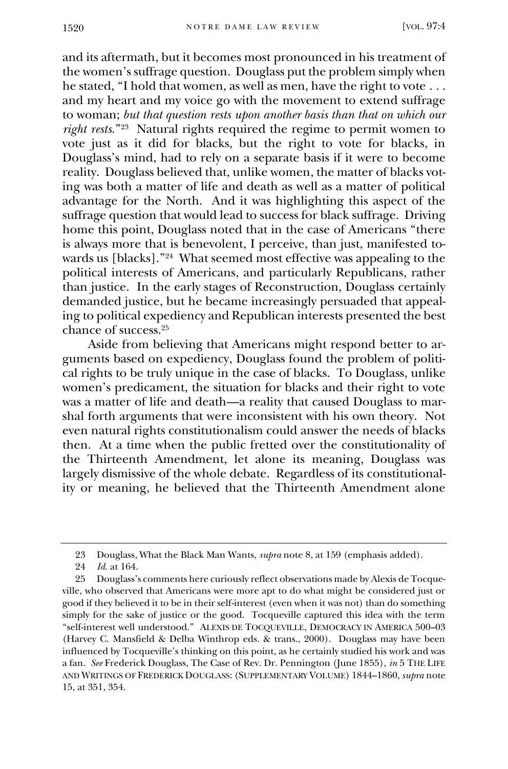and its aftermath, but it becomes most pronounced in his treatment of the women's suffrage question. Douglass put the problem simply when he stated, "I hold that women, as well as men, have the right to vote . . . and my heart and my voice go with the movement to extend suffrage to woman; *but that question rests upon another basis than that on which our right rests*."<sup>23</sup> Natural rights required the regime to permit women to vote just as it did for blacks, but the right to vote for blacks, in Douglass's mind, had to rely on a separate basis if it were to become reality. Douglass believed that, unlike women, the matter of blacks voting was both a matter of life and death as well as a matter of political advantage for the North. And it was highlighting this aspect of the suffrage question that would lead to success for black suffrage. Driving home this point, Douglass noted that in the case of Americans "there is always more that is benevolent, I perceive, than just, manifested towards us [blacks]."<sup>24</sup> What seemed most effective was appealing to the political interests of Americans, and particularly Republicans, rather than justice. In the early stages of Reconstruction, Douglass certainly demanded justice, but he became increasingly persuaded that appealing to political expediency and Republican interests presented the best chance of success.<sup>25</sup>

Aside from believing that Americans might respond better to arguments based on expediency, Douglass found the problem of political rights to be truly unique in the case of blacks. To Douglass, unlike women's predicament, the situation for blacks and their right to vote was a matter of life and death—a reality that caused Douglass to marshal forth arguments that were inconsistent with his own theory. Not even natural rights constitutionalism could answer the needs of blacks then. At a time when the public fretted over the constitutionality of the Thirteenth Amendment, let alone its meaning, Douglass was largely dismissive of the whole debate. Regardless of its constitutionality or meaning, he believed that the Thirteenth Amendment alone

<sup>23</sup> Douglass, What the Black Man Wants, *supra* note 8, at 159 (emphasis added).

<sup>24</sup> *Id.* at 164.

<sup>25</sup> Douglass's comments here curiously reflect observations made by Alexis de Tocqueville, who observed that Americans were more apt to do what might be considered just or good if they believed it to be in their self-interest (even when it was not) than do something simply for the sake of justice or the good. Tocqueville captured this idea with the term "self-interest well understood." ALEXIS DE TOCQUEVILLE, DEMOCRACY IN AMERICA 500–03 (Harvey C. Mansfield & Delba Winthrop eds. & trans., 2000). Douglass may have been influenced by Tocqueville's thinking on this point, as he certainly studied his work and was a fan. *See* Frederick Douglass, The Case of Rev. Dr. Pennington (June 1855), *in* 5 THE LIFE AND WRITINGS OF FREDERICK DOUGLASS: (SUPPLEMENTARY VOLUME) 1844–1860, *supra* note 15, at 351, 354.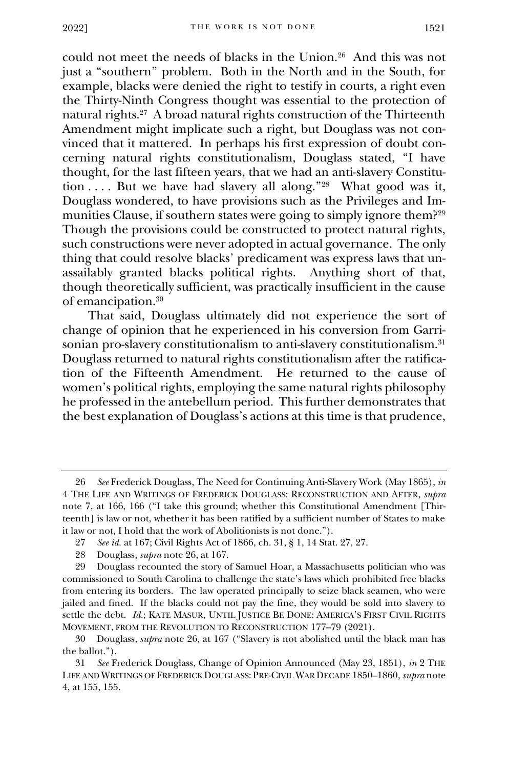could not meet the needs of blacks in the Union.<sup>26</sup> And this was not just a "southern" problem. Both in the North and in the South, for example, blacks were denied the right to testify in courts, a right even the Thirty-Ninth Congress thought was essential to the protection of natural rights.<sup>27</sup> A broad natural rights construction of the Thirteenth Amendment might implicate such a right, but Douglass was not convinced that it mattered. In perhaps his first expression of doubt concerning natural rights constitutionalism, Douglass stated, "I have thought, for the last fifteen years, that we had an anti-slavery Constitution . . . . But we have had slavery all along."<sup>28</sup> What good was it, Douglass wondered, to have provisions such as the Privileges and Immunities Clause, if southern states were going to simply ignore them?<sup>29</sup> Though the provisions could be constructed to protect natural rights, such constructions were never adopted in actual governance. The only thing that could resolve blacks' predicament was express laws that unassailably granted blacks political rights. Anything short of that, though theoretically sufficient, was practically insufficient in the cause of emancipation.<sup>30</sup>

That said, Douglass ultimately did not experience the sort of change of opinion that he experienced in his conversion from Garrisonian pro-slavery constitutionalism to anti-slavery constitutionalism.<sup>31</sup> Douglass returned to natural rights constitutionalism after the ratification of the Fifteenth Amendment. He returned to the cause of women's political rights, employing the same natural rights philosophy he professed in the antebellum period. This further demonstrates that the best explanation of Douglass's actions at this time is that prudence,

<sup>26</sup> *See* Frederick Douglass, The Need for Continuing Anti-Slavery Work (May 1865), *in*  4 THE LIFE AND WRITINGS OF FREDERICK DOUGLASS: RECONSTRUCTION AND AFTER, *supra*  note 7, at 166, 166 ("I take this ground; whether this Constitutional Amendment [Thirteenth] is law or not, whether it has been ratified by a sufficient number of States to make it law or not, I hold that the work of Abolitionists is not done.").

<sup>27</sup> *See id.* at 167; Civil Rights Act of 1866, ch. 31, § 1, 14 Stat. 27, 27.

<sup>28</sup> Douglass, *supra* note 26, at 167.

<sup>29</sup> Douglass recounted the story of Samuel Hoar, a Massachusetts politician who was commissioned to South Carolina to challenge the state's laws which prohibited free blacks from entering its borders. The law operated principally to seize black seamen, who were jailed and fined. If the blacks could not pay the fine, they would be sold into slavery to settle the debt. *Id.*; KATE MASUR, UNTIL JUSTICE BE DONE: AMERICA'S FIRST CIVIL RIGHTS MOVEMENT, FROM THE REVOLUTION TO RECONSTRUCTION 177–79 (2021).

<sup>30</sup> Douglass, *supra* note 26, at 167 ("Slavery is not abolished until the black man has the ballot.").

<sup>31</sup> *See* Frederick Douglass, Change of Opinion Announced (May 23, 1851), *in* 2 THE LIFE AND WRITINGS OF FREDERICK DOUGLASS: PRE-CIVIL WAR DECADE 1850–1860, *supra* note 4, at 155, 155.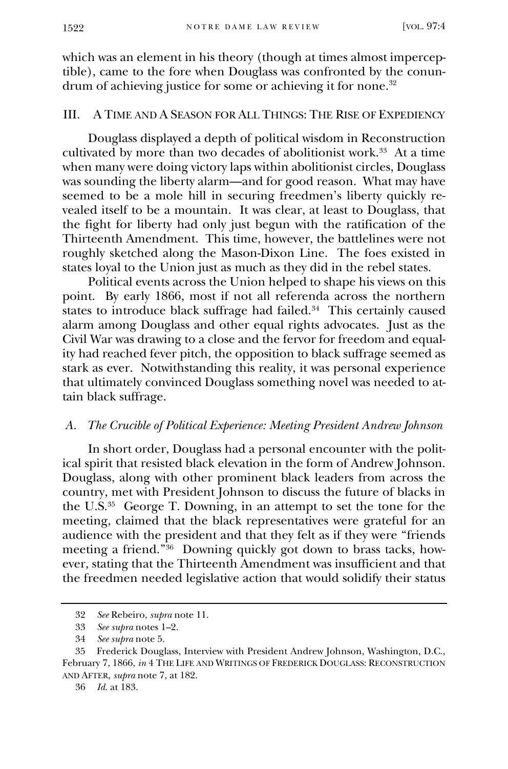which was an element in his theory (though at times almost imperceptible), came to the fore when Douglass was confronted by the conundrum of achieving justice for some or achieving it for none.<sup>32</sup>

## III. A TIME AND A SEASON FOR ALL THINGS: THE RISE OF EXPEDIENCY

Douglass displayed a depth of political wisdom in Reconstruction cultivated by more than two decades of abolitionist work.<sup>33</sup> At a time when many were doing victory laps within abolitionist circles, Douglass was sounding the liberty alarm—and for good reason. What may have seemed to be a mole hill in securing freedmen's liberty quickly revealed itself to be a mountain. It was clear, at least to Douglass, that the fight for liberty had only just begun with the ratification of the Thirteenth Amendment. This time, however, the battlelines were not roughly sketched along the Mason-Dixon Line. The foes existed in states loyal to the Union just as much as they did in the rebel states.

Political events across the Union helped to shape his views on this point. By early 1866, most if not all referenda across the northern states to introduce black suffrage had failed.<sup>34</sup> This certainly caused alarm among Douglass and other equal rights advocates. Just as the Civil War was drawing to a close and the fervor for freedom and equality had reached fever pitch, the opposition to black suffrage seemed as stark as ever. Notwithstanding this reality, it was personal experience that ultimately convinced Douglass something novel was needed to attain black suffrage.

#### *A. The Crucible of Political Experience: Meeting President Andrew Johnson*

In short order, Douglass had a personal encounter with the political spirit that resisted black elevation in the form of Andrew Johnson. Douglass, along with other prominent black leaders from across the country, met with President Johnson to discuss the future of blacks in the U.S.<sup>35</sup> George T. Downing, in an attempt to set the tone for the meeting, claimed that the black representatives were grateful for an audience with the president and that they felt as if they were "friends meeting a friend."<sup>36</sup> Downing quickly got down to brass tacks, however, stating that the Thirteenth Amendment was insufficient and that the freedmen needed legislative action that would solidify their status

<sup>32</sup> *See* Rebeiro, *supra* note 11.

<sup>33</sup> *See supra* notes 1–2.

<sup>34</sup> *See supra* note 5.

<sup>35</sup> Frederick Douglass, Interview with President Andrew Johnson, Washington, D.C., February 7, 1866, *in* 4 THE LIFE AND WRITINGS OF FREDERICK DOUGLASS: RECONSTRUCTION AND AFTER, *supra* note 7, at 182.

<sup>36</sup> *Id.* at 183.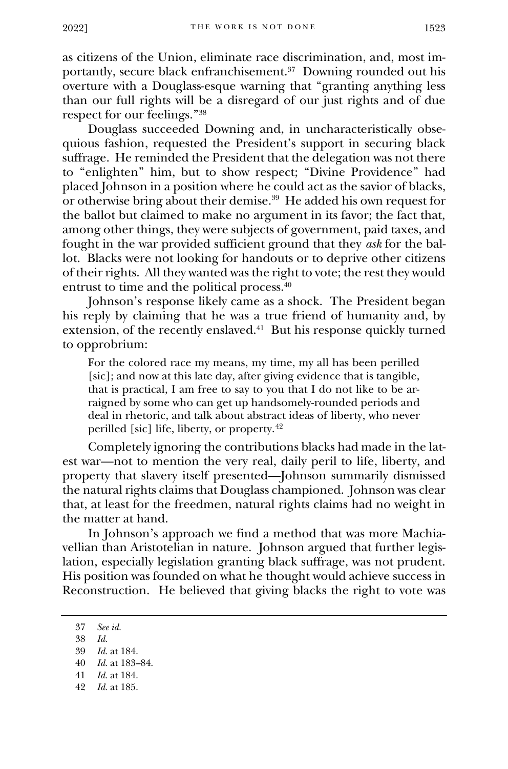as citizens of the Union, eliminate race discrimination, and, most importantly, secure black enfranchisement.<sup>37</sup> Downing rounded out his overture with a Douglass-esque warning that "granting anything less than our full rights will be a disregard of our just rights and of due respect for our feelings."<sup>38</sup>

Douglass succeeded Downing and, in uncharacteristically obsequious fashion, requested the President's support in securing black suffrage. He reminded the President that the delegation was not there to "enlighten" him, but to show respect; "Divine Providence" had placed Johnson in a position where he could act as the savior of blacks, or otherwise bring about their demise.<sup>39</sup> He added his own request for the ballot but claimed to make no argument in its favor; the fact that, among other things, they were subjects of government, paid taxes, and fought in the war provided sufficient ground that they *ask* for the ballot. Blacks were not looking for handouts or to deprive other citizens of their rights. All they wanted was the right to vote; the rest they would entrust to time and the political process.<sup>40</sup>

Johnson's response likely came as a shock. The President began his reply by claiming that he was a true friend of humanity and, by extension, of the recently enslaved.<sup>41</sup> But his response quickly turned to opprobrium:

For the colored race my means, my time, my all has been perilled [sic]; and now at this late day, after giving evidence that is tangible, that is practical, I am free to say to you that I do not like to be arraigned by some who can get up handsomely-rounded periods and deal in rhetoric, and talk about abstract ideas of liberty, who never perilled [sic] life, liberty, or property.<sup>42</sup>

Completely ignoring the contributions blacks had made in the latest war—not to mention the very real, daily peril to life, liberty, and property that slavery itself presented—Johnson summarily dismissed the natural rights claims that Douglass championed. Johnson was clear that, at least for the freedmen, natural rights claims had no weight in the matter at hand.

In Johnson's approach we find a method that was more Machiavellian than Aristotelian in nature. Johnson argued that further legislation, especially legislation granting black suffrage, was not prudent. His position was founded on what he thought would achieve success in Reconstruction. He believed that giving blacks the right to vote was

38 *Id.*

- 41 *Id.* at 184.
- 42 *Id.* at 185.

<sup>37</sup> *See id.*

<sup>39</sup> *Id.* at 184.

<sup>40</sup> *Id.* at 183–84.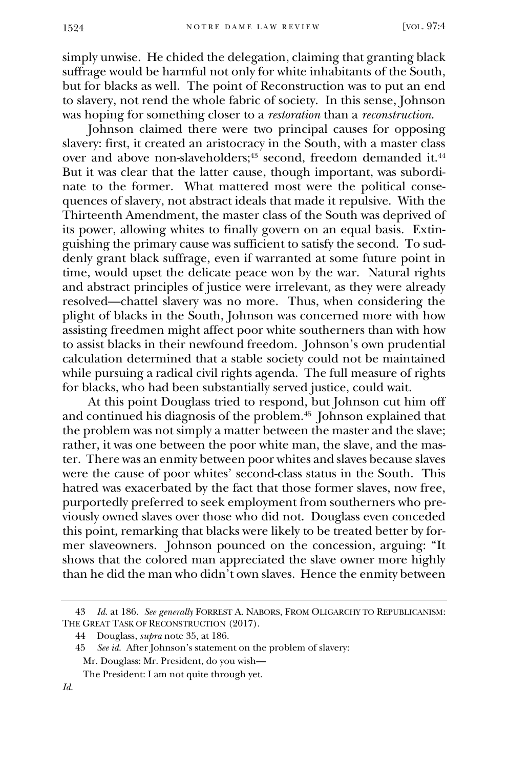simply unwise. He chided the delegation, claiming that granting black suffrage would be harmful not only for white inhabitants of the South, but for blacks as well. The point of Reconstruction was to put an end to slavery, not rend the whole fabric of society. In this sense, Johnson was hoping for something closer to a *restoration* than a *reconstruction*.

Johnson claimed there were two principal causes for opposing slavery: first, it created an aristocracy in the South, with a master class over and above non-slaveholders;<sup>43</sup> second, freedom demanded it.<sup>44</sup> But it was clear that the latter cause, though important, was subordinate to the former. What mattered most were the political consequences of slavery, not abstract ideals that made it repulsive. With the Thirteenth Amendment, the master class of the South was deprived of its power, allowing whites to finally govern on an equal basis. Extinguishing the primary cause was sufficient to satisfy the second. To suddenly grant black suffrage, even if warranted at some future point in time, would upset the delicate peace won by the war. Natural rights and abstract principles of justice were irrelevant, as they were already resolved—chattel slavery was no more. Thus, when considering the plight of blacks in the South, Johnson was concerned more with how assisting freedmen might affect poor white southerners than with how to assist blacks in their newfound freedom. Johnson's own prudential calculation determined that a stable society could not be maintained while pursuing a radical civil rights agenda. The full measure of rights for blacks, who had been substantially served justice, could wait.

At this point Douglass tried to respond, but Johnson cut him off and continued his diagnosis of the problem.<sup>45</sup> Johnson explained that the problem was not simply a matter between the master and the slave; rather, it was one between the poor white man, the slave, and the master. There was an enmity between poor whites and slaves because slaves were the cause of poor whites' second-class status in the South. This hatred was exacerbated by the fact that those former slaves, now free, purportedly preferred to seek employment from southerners who previously owned slaves over those who did not. Douglass even conceded this point, remarking that blacks were likely to be treated better by former slaveowners. Johnson pounced on the concession, arguing: "It shows that the colored man appreciated the slave owner more highly than he did the man who didn't own slaves. Hence the enmity between

<sup>43</sup> *Id.* at 186. *See generally* FORREST A. NABORS, FROM OLIGARCHY TO REPUBLICANISM: THE GREAT TASK OF RECONSTRUCTION (2017).

<sup>44</sup> Douglass, *supra* note 35, at 186.

<sup>45</sup> *See id.* After Johnson's statement on the problem of slavery: Mr. Douglass: Mr. President, do you wish—

The President: I am not quite through yet.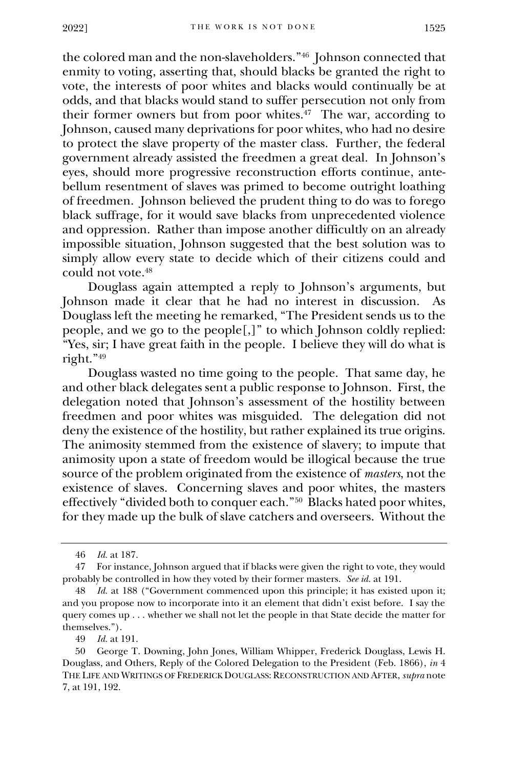the colored man and the non-slaveholders."<sup>46</sup> Johnson connected that enmity to voting, asserting that, should blacks be granted the right to vote, the interests of poor whites and blacks would continually be at odds, and that blacks would stand to suffer persecution not only from their former owners but from poor whites.<sup>47</sup> The war, according to Johnson, caused many deprivations for poor whites, who had no desire to protect the slave property of the master class. Further, the federal government already assisted the freedmen a great deal. In Johnson's eyes, should more progressive reconstruction efforts continue, antebellum resentment of slaves was primed to become outright loathing of freedmen. Johnson believed the prudent thing to do was to forego black suffrage, for it would save blacks from unprecedented violence and oppression. Rather than impose another difficultly on an already impossible situation, Johnson suggested that the best solution was to simply allow every state to decide which of their citizens could and could not vote.<sup>48</sup>

Douglass again attempted a reply to Johnson's arguments, but Johnson made it clear that he had no interest in discussion. As Douglass left the meeting he remarked, "The President sends us to the people, and we go to the people[,]" to which Johnson coldly replied: "Yes, sir; I have great faith in the people. I believe they will do what is right."<sup>49</sup>

Douglass wasted no time going to the people. That same day, he and other black delegates sent a public response to Johnson. First, the delegation noted that Johnson's assessment of the hostility between freedmen and poor whites was misguided. The delegation did not deny the existence of the hostility, but rather explained its true origins. The animosity stemmed from the existence of slavery; to impute that animosity upon a state of freedom would be illogical because the true source of the problem originated from the existence of *masters*, not the existence of slaves. Concerning slaves and poor whites, the masters effectively "divided both to conquer each."<sup>50</sup> Blacks hated poor whites, for they made up the bulk of slave catchers and overseers. Without the

49 *Id.* at 191.

<sup>46</sup> *Id.* at 187.

<sup>47</sup> For instance, Johnson argued that if blacks were given the right to vote, they would probably be controlled in how they voted by their former masters. *See id.* at 191.

<sup>48</sup> *Id.* at 188 ("Government commenced upon this principle; it has existed upon it; and you propose now to incorporate into it an element that didn't exist before. I say the query comes up . . . whether we shall not let the people in that State decide the matter for themselves.").

<sup>50</sup> George T. Downing, John Jones, William Whipper, Frederick Douglass, Lewis H. Douglass, and Others, Reply of the Colored Delegation to the President (Feb. 1866), *in* 4 THE LIFE AND WRITINGS OF FREDERICK DOUGLASS: RECONSTRUCTION AND AFTER, *supra* note 7, at 191, 192.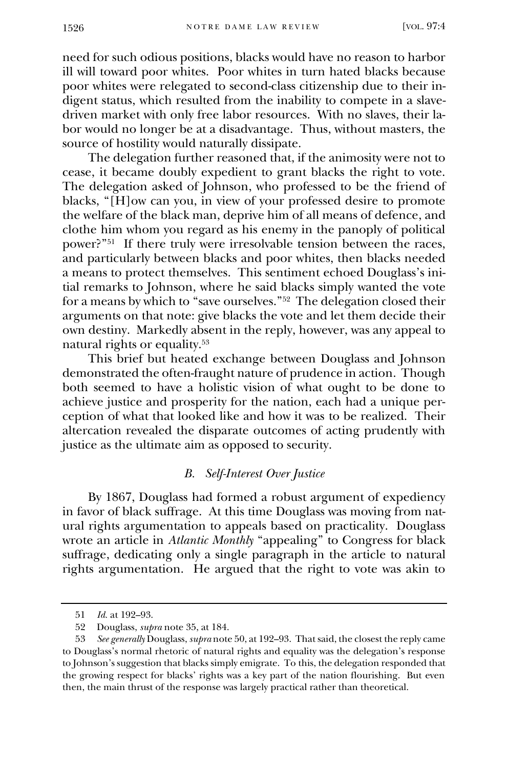need for such odious positions, blacks would have no reason to harbor ill will toward poor whites. Poor whites in turn hated blacks because poor whites were relegated to second-class citizenship due to their indigent status, which resulted from the inability to compete in a slavedriven market with only free labor resources. With no slaves, their labor would no longer be at a disadvantage. Thus, without masters, the source of hostility would naturally dissipate.

The delegation further reasoned that, if the animosity were not to cease, it became doubly expedient to grant blacks the right to vote. The delegation asked of Johnson, who professed to be the friend of blacks, "[H]ow can you, in view of your professed desire to promote the welfare of the black man, deprive him of all means of defence, and clothe him whom you regard as his enemy in the panoply of political power?"<sup>51</sup> If there truly were irresolvable tension between the races, and particularly between blacks and poor whites, then blacks needed a means to protect themselves. This sentiment echoed Douglass's initial remarks to Johnson, where he said blacks simply wanted the vote for a means by which to "save ourselves."<sup>52</sup> The delegation closed their arguments on that note: give blacks the vote and let them decide their own destiny. Markedly absent in the reply, however, was any appeal to natural rights or equality.<sup>53</sup>

This brief but heated exchange between Douglass and Johnson demonstrated the often-fraught nature of prudence in action. Though both seemed to have a holistic vision of what ought to be done to achieve justice and prosperity for the nation, each had a unique perception of what that looked like and how it was to be realized. Their altercation revealed the disparate outcomes of acting prudently with justice as the ultimate aim as opposed to security.

## *B. Self-Interest Over Justice*

By 1867, Douglass had formed a robust argument of expediency in favor of black suffrage. At this time Douglass was moving from natural rights argumentation to appeals based on practicality. Douglass wrote an article in *Atlantic Monthly* "appealing" to Congress for black suffrage, dedicating only a single paragraph in the article to natural rights argumentation. He argued that the right to vote was akin to

<sup>51</sup> *Id.* at 192–93.

<sup>52</sup> Douglass, *supra* note 35, at 184.

<sup>53</sup> *See generally* Douglass, *supra* note 50, at 192–93. That said, the closest the reply came to Douglass's normal rhetoric of natural rights and equality was the delegation's response to Johnson's suggestion that blacks simply emigrate. To this, the delegation responded that the growing respect for blacks' rights was a key part of the nation flourishing. But even then, the main thrust of the response was largely practical rather than theoretical.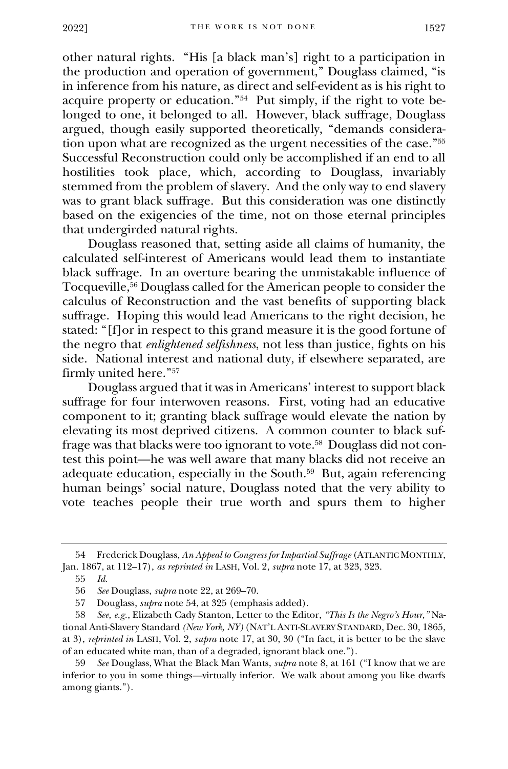other natural rights. "His [a black man's] right to a participation in the production and operation of government," Douglass claimed, "is in inference from his nature, as direct and self-evident as is his right to acquire property or education."<sup>54</sup> Put simply, if the right to vote belonged to one, it belonged to all. However, black suffrage, Douglass argued, though easily supported theoretically, "demands consideration upon what are recognized as the urgent necessities of the case."<sup>55</sup> Successful Reconstruction could only be accomplished if an end to all hostilities took place, which, according to Douglass, invariably stemmed from the problem of slavery. And the only way to end slavery was to grant black suffrage. But this consideration was one distinctly based on the exigencies of the time, not on those eternal principles that undergirded natural rights.

Douglass reasoned that, setting aside all claims of humanity, the calculated self-interest of Americans would lead them to instantiate black suffrage. In an overture bearing the unmistakable influence of Tocqueville,<sup>56</sup> Douglass called for the American people to consider the calculus of Reconstruction and the vast benefits of supporting black suffrage. Hoping this would lead Americans to the right decision, he stated: "[f]or in respect to this grand measure it is the good fortune of the negro that *enlightened selfishness*, not less than justice, fights on his side. National interest and national duty, if elsewhere separated, are firmly united here."<sup>57</sup>

Douglass argued that it was in Americans' interest to support black suffrage for four interwoven reasons. First, voting had an educative component to it; granting black suffrage would elevate the nation by elevating its most deprived citizens. A common counter to black suffrage was that blacks were too ignorant to vote.<sup>58</sup> Douglass did not contest this point—he was well aware that many blacks did not receive an adequate education, especially in the South.<sup>59</sup> But, again referencing human beings' social nature, Douglass noted that the very ability to vote teaches people their true worth and spurs them to higher

<sup>54</sup> Frederick Douglass, *An Appeal to Congress for Impartial Suffrage* (ATLANTIC MONTHLY, Jan. 1867, at 112–17), *as reprinted in* LASH, Vol. 2, *supra* note 17, at 323, 323.

<sup>55</sup> *Id.*

<sup>56</sup> *See* Douglass, *supra* note 22, at 269–70.

<sup>57</sup> Douglass, *supra* note 54, at 325 (emphasis added).

<sup>58</sup> *See, e.g.*, Elizabeth Cady Stanton, Letter to the Editor, *"This Is the Negro's Hour,"* National Anti-Slavery Standard *(New York, NY)* (NAT'L ANTI-SLAVERY STANDARD, Dec. 30, 1865, at 3), *reprinted in* LASH, Vol. 2, *supra* note 17, at 30, 30 ("In fact, it is better to be the slave of an educated white man, than of a degraded, ignorant black one.").

<sup>59</sup> *See* Douglass, What the Black Man Wants, *supra* note 8, at 161 ("I know that we are inferior to you in some things—virtually inferior. We walk about among you like dwarfs among giants.").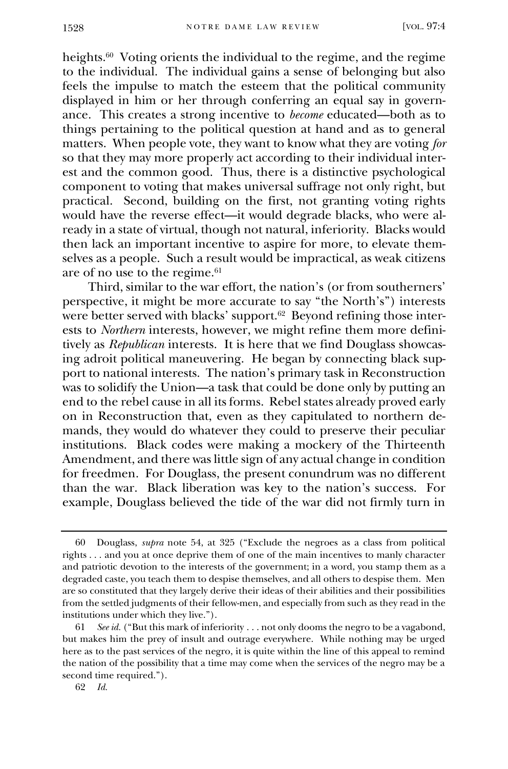heights.<sup>60</sup> Voting orients the individual to the regime, and the regime to the individual. The individual gains a sense of belonging but also feels the impulse to match the esteem that the political community displayed in him or her through conferring an equal say in governance. This creates a strong incentive to *become* educated—both as to things pertaining to the political question at hand and as to general matters. When people vote, they want to know what they are voting *for* so that they may more properly act according to their individual interest and the common good. Thus, there is a distinctive psychological component to voting that makes universal suffrage not only right, but practical. Second, building on the first, not granting voting rights would have the reverse effect—it would degrade blacks, who were already in a state of virtual, though not natural, inferiority. Blacks would then lack an important incentive to aspire for more, to elevate themselves as a people. Such a result would be impractical, as weak citizens are of no use to the regime.<sup>61</sup>

Third, similar to the war effort, the nation's (or from southerners' perspective, it might be more accurate to say "the North's") interests were better served with blacks' support.<sup>62</sup> Beyond refining those interests to *Northern* interests, however, we might refine them more definitively as *Republican* interests. It is here that we find Douglass showcasing adroit political maneuvering. He began by connecting black support to national interests. The nation's primary task in Reconstruction was to solidify the Union—a task that could be done only by putting an end to the rebel cause in all its forms. Rebel states already proved early on in Reconstruction that, even as they capitulated to northern demands, they would do whatever they could to preserve their peculiar institutions. Black codes were making a mockery of the Thirteenth Amendment, and there was little sign of any actual change in condition for freedmen. For Douglass, the present conundrum was no different than the war. Black liberation was key to the nation's success. For example, Douglass believed the tide of the war did not firmly turn in

<sup>60</sup> Douglass, *supra* note 54, at 325 ("Exclude the negroes as a class from political rights . . . and you at once deprive them of one of the main incentives to manly character and patriotic devotion to the interests of the government; in a word, you stamp them as a degraded caste, you teach them to despise themselves, and all others to despise them. Men are so constituted that they largely derive their ideas of their abilities and their possibilities from the settled judgments of their fellow-men, and especially from such as they read in the institutions under which they live.").

<sup>61</sup> *See id.* ("But this mark of inferiority . . . not only dooms the negro to be a vagabond, but makes him the prey of insult and outrage everywhere. While nothing may be urged here as to the past services of the negro, it is quite within the line of this appeal to remind the nation of the possibility that a time may come when the services of the negro may be a second time required.").

<sup>62</sup> *Id.*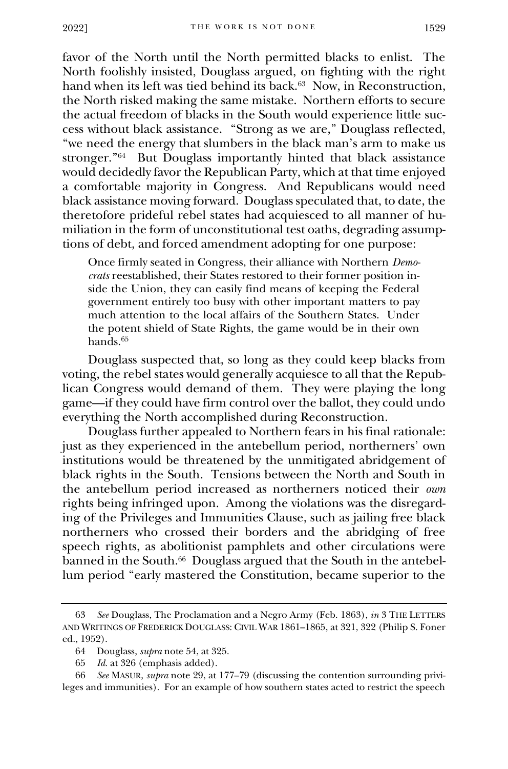favor of the North until the North permitted blacks to enlist. The North foolishly insisted, Douglass argued, on fighting with the right hand when its left was tied behind its back.<sup>63</sup> Now, in Reconstruction, the North risked making the same mistake. Northern efforts to secure the actual freedom of blacks in the South would experience little success without black assistance. "Strong as we are," Douglass reflected, "we need the energy that slumbers in the black man's arm to make us stronger."<sup>64</sup> But Douglass importantly hinted that black assistance would decidedly favor the Republican Party, which at that time enjoyed a comfortable majority in Congress. And Republicans would need black assistance moving forward. Douglass speculated that, to date, the theretofore prideful rebel states had acquiesced to all manner of humiliation in the form of unconstitutional test oaths, degrading assumptions of debt, and forced amendment adopting for one purpose:

Once firmly seated in Congress, their alliance with Northern *Democrats* reestablished, their States restored to their former position inside the Union, they can easily find means of keeping the Federal government entirely too busy with other important matters to pay much attention to the local affairs of the Southern States. Under the potent shield of State Rights, the game would be in their own hands.<sup>65</sup>

Douglass suspected that, so long as they could keep blacks from voting, the rebel states would generally acquiesce to all that the Republican Congress would demand of them. They were playing the long game—if they could have firm control over the ballot, they could undo everything the North accomplished during Reconstruction.

Douglass further appealed to Northern fears in his final rationale: just as they experienced in the antebellum period, northerners' own institutions would be threatened by the unmitigated abridgement of black rights in the South. Tensions between the North and South in the antebellum period increased as northerners noticed their *own* rights being infringed upon. Among the violations was the disregarding of the Privileges and Immunities Clause, such as jailing free black northerners who crossed their borders and the abridging of free speech rights, as abolitionist pamphlets and other circulations were banned in the South.<sup>66</sup> Douglass argued that the South in the antebellum period "early mastered the Constitution, became superior to the

<sup>63</sup> *See* Douglass, The Proclamation and a Negro Army (Feb. 1863), *in* 3 THE LETTERS AND WRITINGS OF FREDERICK DOUGLASS: CIVIL WAR 1861–1865, at 321, 322 (Philip S. Foner ed., 1952).

<sup>64</sup> Douglass, *supra* note 54, at 325.

<sup>65</sup> *Id.* at 326 (emphasis added).

<sup>66</sup> *See* MASUR, *supra* note 29, at 177–79 (discussing the contention surrounding privileges and immunities). For an example of how southern states acted to restrict the speech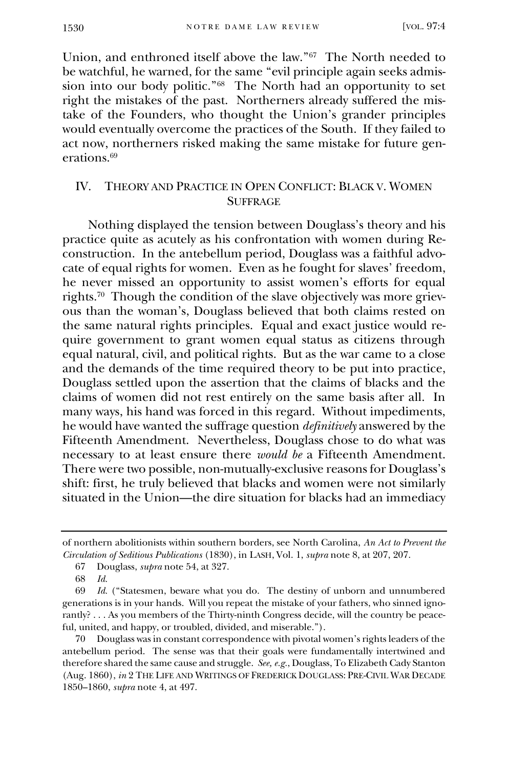Union, and enthroned itself above the law."<sup>67</sup> The North needed to be watchful, he warned, for the same "evil principle again seeks admission into our body politic."<sup>68</sup> The North had an opportunity to set right the mistakes of the past. Northerners already suffered the mistake of the Founders, who thought the Union's grander principles would eventually overcome the practices of the South. If they failed to act now, northerners risked making the same mistake for future generations.<sup>69</sup>

## IV. THEORY AND PRACTICE IN OPEN CONFLICT: BLACK V. WOMEN **SUFFRAGE**

Nothing displayed the tension between Douglass's theory and his practice quite as acutely as his confrontation with women during Reconstruction. In the antebellum period, Douglass was a faithful advocate of equal rights for women. Even as he fought for slaves' freedom, he never missed an opportunity to assist women's efforts for equal rights.<sup>70</sup> Though the condition of the slave objectively was more grievous than the woman's, Douglass believed that both claims rested on the same natural rights principles. Equal and exact justice would require government to grant women equal status as citizens through equal natural, civil, and political rights. But as the war came to a close and the demands of the time required theory to be put into practice, Douglass settled upon the assertion that the claims of blacks and the claims of women did not rest entirely on the same basis after all. In many ways, his hand was forced in this regard. Without impediments, he would have wanted the suffrage question *definitively* answered by the Fifteenth Amendment. Nevertheless, Douglass chose to do what was necessary to at least ensure there *would be* a Fifteenth Amendment. There were two possible, non-mutually-exclusive reasons for Douglass's shift: first, he truly believed that blacks and women were not similarly situated in the Union—the dire situation for blacks had an immediacy

of northern abolitionists within southern borders, see North Carolina, *An Act to Prevent the Circulation of Seditious Publications* (1830), in LASH, Vol. 1, *supra* note 8, at 207, 207.

<sup>67</sup> Douglass, *supra* note 54, at 327.

<sup>68</sup> *Id.*

<sup>69</sup> *Id.* ("Statesmen, beware what you do. The destiny of unborn and unnumbered generations is in your hands. Will you repeat the mistake of your fathers, who sinned ignorantly? . . . As you members of the Thirty-ninth Congress decide, will the country be peaceful, united, and happy, or troubled, divided, and miserable.").

<sup>70</sup> Douglass was in constant correspondence with pivotal women's rights leaders of the antebellum period. The sense was that their goals were fundamentally intertwined and therefore shared the same cause and struggle. *See, e.g.*, Douglass, To Elizabeth Cady Stanton (Aug. 1860), *in* 2 THE LIFE AND WRITINGS OF FREDERICK DOUGLASS: PRE-CIVIL WAR DECADE 1850–1860, *supra* note 4, at 497.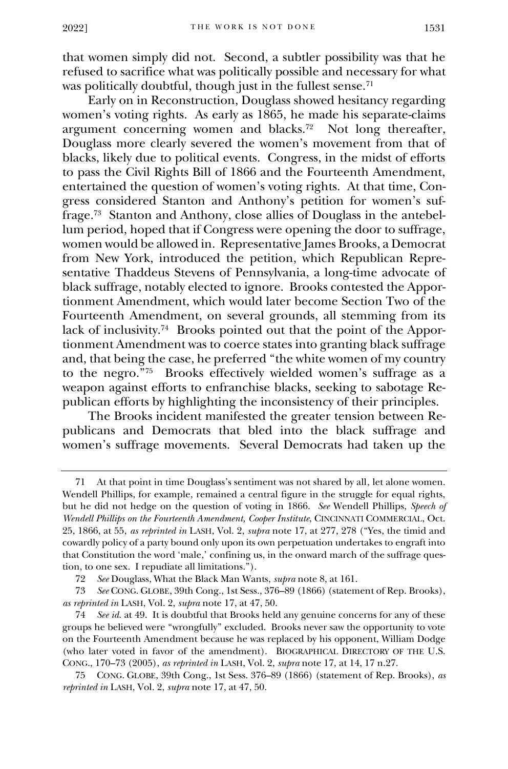that women simply did not. Second, a subtler possibility was that he refused to sacrifice what was politically possible and necessary for what was politically doubtful, though just in the fullest sense.<sup>71</sup>

Early on in Reconstruction, Douglass showed hesitancy regarding women's voting rights. As early as 1865, he made his separate-claims argument concerning women and blacks.<sup>72</sup> Not long thereafter, Douglass more clearly severed the women's movement from that of blacks, likely due to political events. Congress, in the midst of efforts to pass the Civil Rights Bill of 1866 and the Fourteenth Amendment, entertained the question of women's voting rights. At that time, Congress considered Stanton and Anthony's petition for women's suffrage.<sup>73</sup> Stanton and Anthony, close allies of Douglass in the antebellum period, hoped that if Congress were opening the door to suffrage, women would be allowed in. Representative James Brooks, a Democrat from New York, introduced the petition, which Republican Representative Thaddeus Stevens of Pennsylvania, a long-time advocate of black suffrage, notably elected to ignore. Brooks contested the Apportionment Amendment, which would later become Section Two of the Fourteenth Amendment, on several grounds, all stemming from its lack of inclusivity.<sup>74</sup> Brooks pointed out that the point of the Apportionment Amendment was to coerce states into granting black suffrage and, that being the case, he preferred "the white women of my country to the negro."<sup>75</sup> Brooks effectively wielded women's suffrage as a weapon against efforts to enfranchise blacks, seeking to sabotage Republican efforts by highlighting the inconsistency of their principles.

The Brooks incident manifested the greater tension between Republicans and Democrats that bled into the black suffrage and women's suffrage movements. Several Democrats had taken up the

<sup>71</sup> At that point in time Douglass's sentiment was not shared by all, let alone women. Wendell Phillips, for example, remained a central figure in the struggle for equal rights, but he did not hedge on the question of voting in 1866. *See* Wendell Phillips, *Speech of Wendell Phillips on the Fourteenth Amendment, Cooper Institute*, CINCINNATI COMMERCIAL, Oct. 25, 1866, at 55, *as reprinted in* LASH, Vol. 2, *supra* note 17, at 277, 278 ("Yes, the timid and cowardly policy of a party bound only upon its own perpetuation undertakes to engraft into that Constitution the word 'male,' confining us, in the onward march of the suffrage question, to one sex. I repudiate all limitations.").

<sup>72</sup> *See* Douglass, What the Black Man Wants, *supra* note 8, at 161.

<sup>73</sup> *See* CONG. GLOBE, 39th Cong., 1st Sess., 376–89 (1866) (statement of Rep. Brooks), *as reprinted in* LASH, Vol. 2, *supra* note 17, at 47, 50.

<sup>74</sup> *See id.* at 49. It is doubtful that Brooks held any genuine concerns for any of these groups he believed were "wrongfully" excluded. Brooks never saw the opportunity to vote on the Fourteenth Amendment because he was replaced by his opponent, William Dodge (who later voted in favor of the amendment). BIOGRAPHICAL DIRECTORY OF THE U.S. CONG., 170–73 (2005), *as reprinted in* LASH, Vol. 2, *supra* note 17, at 14, 17 n.27.

<sup>75</sup> CONG. GLOBE, 39th Cong., 1st Sess. 376–89 (1866) (statement of Rep. Brooks), *as reprinted in* LASH, Vol. 2, *supra* note 17, at 47, 50.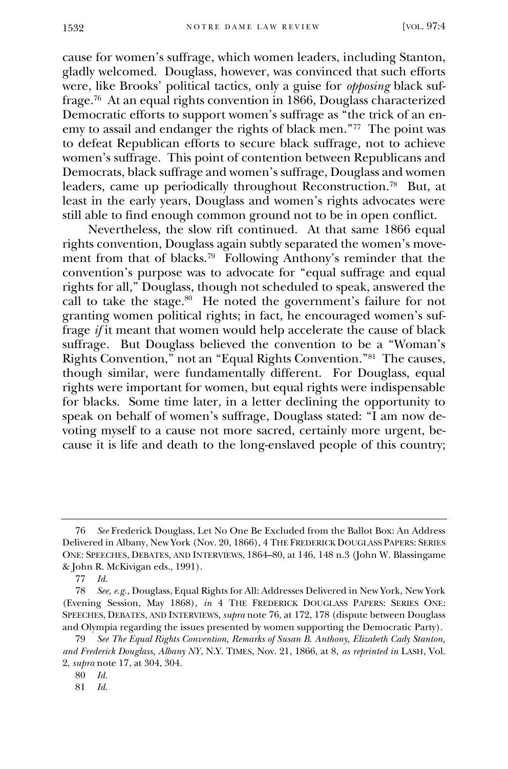cause for women's suffrage, which women leaders, including Stanton, gladly welcomed. Douglass, however, was convinced that such efforts were, like Brooks' political tactics, only a guise for *opposing* black suffrage.<sup>76</sup> At an equal rights convention in 1866, Douglass characterized Democratic efforts to support women's suffrage as "the trick of an enemy to assail and endanger the rights of black men."<sup>77</sup> The point was to defeat Republican efforts to secure black suffrage, not to achieve women's suffrage. This point of contention between Republicans and Democrats, black suffrage and women's suffrage, Douglass and women leaders, came up periodically throughout Reconstruction.<sup>78</sup> But, at least in the early years, Douglass and women's rights advocates were still able to find enough common ground not to be in open conflict.

Nevertheless, the slow rift continued. At that same 1866 equal rights convention, Douglass again subtly separated the women's movement from that of blacks.<sup>79</sup> Following Anthony's reminder that the convention's purpose was to advocate for "equal suffrage and equal rights for all," Douglass, though not scheduled to speak, answered the call to take the stage. $80$  He noted the government's failure for not granting women political rights; in fact, he encouraged women's suffrage *if* it meant that women would help accelerate the cause of black suffrage. But Douglass believed the convention to be a "Woman's Rights Convention," not an "Equal Rights Convention."<sup>81</sup> The causes, though similar, were fundamentally different. For Douglass, equal rights were important for women, but equal rights were indispensable for blacks. Some time later, in a letter declining the opportunity to speak on behalf of women's suffrage, Douglass stated: "I am now devoting myself to a cause not more sacred, certainly more urgent, because it is life and death to the long-enslaved people of this country;

<sup>76</sup> *See* Frederick Douglass, Let No One Be Excluded from the Ballot Box: An Address Delivered in Albany, New York (Nov. 20, 1866), 4 THE FREDERICK DOUGLASS PAPERS: SERIES ONE: SPEECHES, DEBATES, AND INTERVIEWS, 1864–80, at 146, 148 n.3 (John W. Blassingame & John R. McKivigan eds., 1991).

<sup>77</sup> *Id.*

<sup>78</sup> *See, e.g.*, Douglass, Equal Rights for All: Addresses Delivered in New York, New York (Evening Session, May 1868), *in* 4 THE FREDERICK DOUGLASS PAPERS: SERIES ONE: SPEECHES, DEBATES, AND INTERVIEWS, *supra* note 76, at 172, 178 (dispute between Douglass and Olympia regarding the issues presented by women supporting the Democratic Party).

<sup>79</sup> *See The Equal Rights Convention, Remarks of Susan B. Anthony, Elizabeth Cady Stanton, and Frederick Douglass, Albany NY*, N.Y. TIMES, Nov. 21, 1866, at 8, *as reprinted in* LASH, Vol. 2, *supra* note 17, at 304, 304.

<sup>80</sup> *Id.*

<sup>81</sup> *Id.*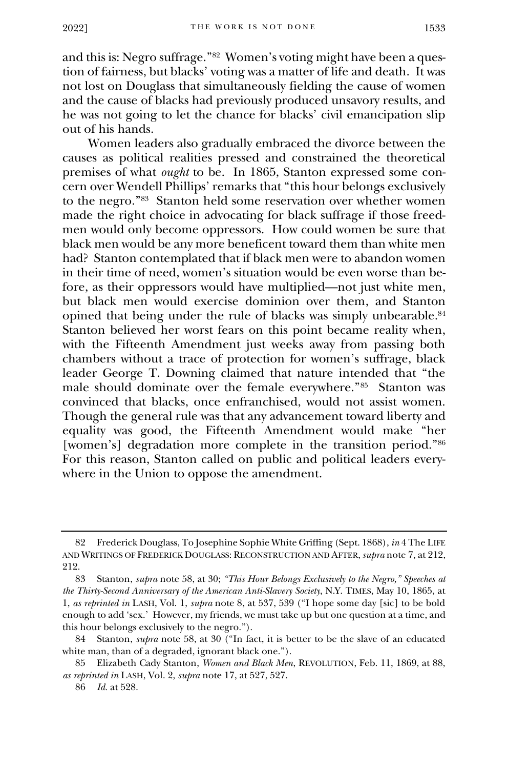and this is: Negro suffrage."<sup>82</sup> Women's voting might have been a question of fairness, but blacks' voting was a matter of life and death. It was not lost on Douglass that simultaneously fielding the cause of women and the cause of blacks had previously produced unsavory results, and he was not going to let the chance for blacks' civil emancipation slip out of his hands.

Women leaders also gradually embraced the divorce between the causes as political realities pressed and constrained the theoretical premises of what *ought* to be. In 1865, Stanton expressed some concern over Wendell Phillips' remarks that "this hour belongs exclusively to the negro."<sup>83</sup> Stanton held some reservation over whether women made the right choice in advocating for black suffrage if those freedmen would only become oppressors. How could women be sure that black men would be any more beneficent toward them than white men had? Stanton contemplated that if black men were to abandon women in their time of need, women's situation would be even worse than before, as their oppressors would have multiplied—not just white men, but black men would exercise dominion over them, and Stanton opined that being under the rule of blacks was simply unbearable. 84 Stanton believed her worst fears on this point became reality when, with the Fifteenth Amendment just weeks away from passing both chambers without a trace of protection for women's suffrage, black leader George T. Downing claimed that nature intended that "the male should dominate over the female everywhere."<sup>85</sup> Stanton was convinced that blacks, once enfranchised, would not assist women. Though the general rule was that any advancement toward liberty and equality was good, the Fifteenth Amendment would make "her [women's] degradation more complete in the transition period."<sup>86</sup> For this reason, Stanton called on public and political leaders everywhere in the Union to oppose the amendment.

<sup>82</sup> Frederick Douglass, To Josephine Sophie White Griffing (Sept. 1868), *in* 4 The LIFE AND WRITINGS OF FREDERICK DOUGLASS: RECONSTRUCTION AND AFTER, *supra* note 7, at 212, 212.

<sup>83</sup> Stanton, *supra* note 58, at 30; *"This Hour Belongs Exclusively to the Negro," Speeches at the Thirty-Second Anniversary of the American Anti-Slavery Society*, N.Y. TIMES, May 10, 1865, at 1, *as reprinted in* LASH, Vol. 1, *supra* note 8, at 537, 539 ("I hope some day [sic] to be bold enough to add 'sex.' However, my friends, we must take up but one question at a time, and this hour belongs exclusively to the negro.").

<sup>84</sup> Stanton, *supra* note 58, at 30 ("In fact, it is better to be the slave of an educated white man, than of a degraded, ignorant black one.").

<sup>85</sup> Elizabeth Cady Stanton, *Women and Black Men*, REVOLUTION, Feb. 11, 1869, at 88, *as reprinted in* LASH, Vol. 2, *supra* note 17, at 527, 527.

<sup>86</sup> *Id.* at 528.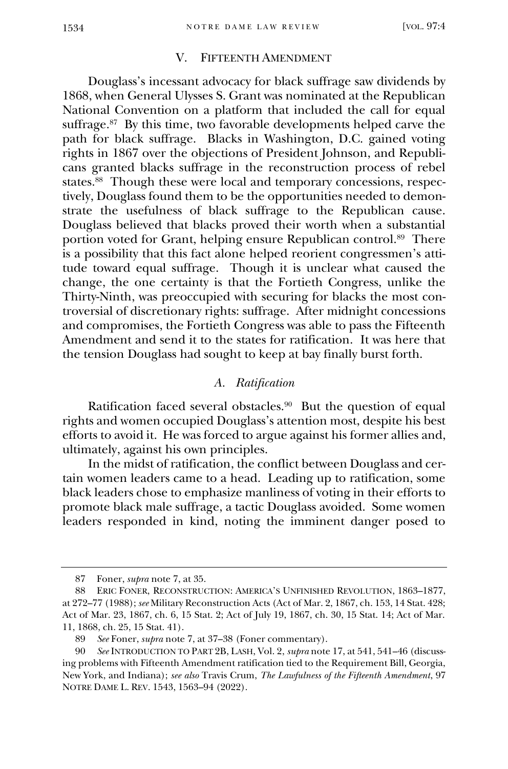## V. FIFTEENTH AMENDMENT

Douglass's incessant advocacy for black suffrage saw dividends by 1868, when General Ulysses S. Grant was nominated at the Republican National Convention on a platform that included the call for equal suffrage.<sup>87</sup> By this time, two favorable developments helped carve the path for black suffrage. Blacks in Washington, D.C. gained voting rights in 1867 over the objections of President Johnson, and Republicans granted blacks suffrage in the reconstruction process of rebel states.<sup>88</sup> Though these were local and temporary concessions, respectively, Douglass found them to be the opportunities needed to demonstrate the usefulness of black suffrage to the Republican cause. Douglass believed that blacks proved their worth when a substantial portion voted for Grant, helping ensure Republican control.<sup>89</sup> There is a possibility that this fact alone helped reorient congressmen's attitude toward equal suffrage. Though it is unclear what caused the change, the one certainty is that the Fortieth Congress, unlike the Thirty-Ninth, was preoccupied with securing for blacks the most controversial of discretionary rights: suffrage. After midnight concessions and compromises, the Fortieth Congress was able to pass the Fifteenth Amendment and send it to the states for ratification. It was here that the tension Douglass had sought to keep at bay finally burst forth.

#### *A. Ratification*

Ratification faced several obstacles.<sup>90</sup> But the question of equal rights and women occupied Douglass's attention most, despite his best efforts to avoid it. He was forced to argue against his former allies and, ultimately, against his own principles.

In the midst of ratification, the conflict between Douglass and certain women leaders came to a head. Leading up to ratification, some black leaders chose to emphasize manliness of voting in their efforts to promote black male suffrage, a tactic Douglass avoided. Some women leaders responded in kind, noting the imminent danger posed to

<sup>87</sup> Foner, *supra* note 7, at 35.

<sup>88</sup> ERIC FONER, RECONSTRUCTION: AMERICA'S UNFINISHED REVOLUTION, 1863–1877, at 272–77 (1988); *see* Military Reconstruction Acts (Act of Mar. 2, 1867, ch. 153, 14 Stat. 428; Act of Mar. 23, 1867, ch. 6, 15 Stat. 2; Act of July 19, 1867, ch. 30, 15 Stat. 14; Act of Mar. 11, 1868, ch. 25, 15 Stat. 41).

<sup>89</sup> *See* Foner, *supra* note 7, at 37–38 (Foner commentary).

<sup>90</sup> *See* INTRODUCTION TO PART 2B, LASH, Vol. 2, *supra* note 17, at 541, 541–46 (discussing problems with Fifteenth Amendment ratification tied to the Requirement Bill, Georgia, New York, and Indiana); *see also* Travis Crum, *The Lawfulness of the Fifteenth Amendment*, 97 NOTRE DAME L. REV. 1543, 1563–94 (2022).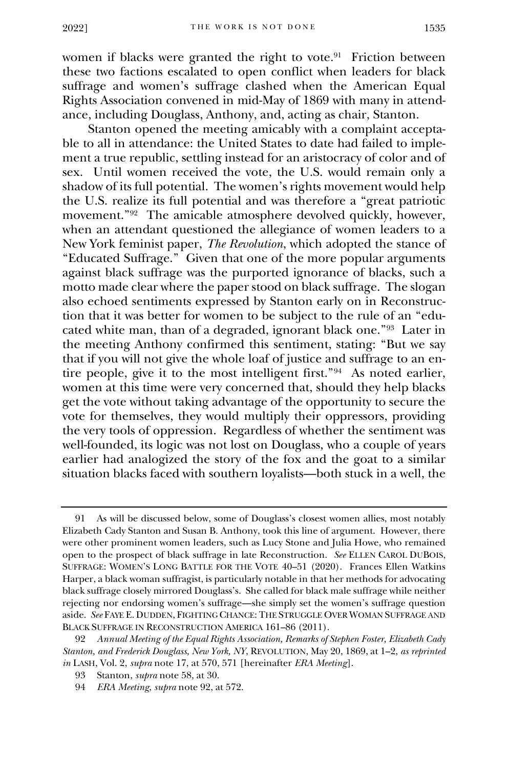women if blacks were granted the right to vote.<sup>91</sup> Friction between these two factions escalated to open conflict when leaders for black suffrage and women's suffrage clashed when the American Equal Rights Association convened in mid-May of 1869 with many in attendance, including Douglass, Anthony, and, acting as chair, Stanton.

Stanton opened the meeting amicably with a complaint acceptable to all in attendance: the United States to date had failed to implement a true republic, settling instead for an aristocracy of color and of sex. Until women received the vote, the U.S. would remain only a shadow of its full potential. The women's rights movement would help the U.S. realize its full potential and was therefore a "great patriotic movement."<sup>92</sup> The amicable atmosphere devolved quickly, however, when an attendant questioned the allegiance of women leaders to a New York feminist paper, *The Revolution*, which adopted the stance of "Educated Suffrage." Given that one of the more popular arguments against black suffrage was the purported ignorance of blacks, such a motto made clear where the paper stood on black suffrage. The slogan also echoed sentiments expressed by Stanton early on in Reconstruction that it was better for women to be subject to the rule of an "educated white man, than of a degraded, ignorant black one."<sup>93</sup> Later in the meeting Anthony confirmed this sentiment, stating: "But we say that if you will not give the whole loaf of justice and suffrage to an entire people, give it to the most intelligent first."<sup>94</sup> As noted earlier, women at this time were very concerned that, should they help blacks get the vote without taking advantage of the opportunity to secure the vote for themselves, they would multiply their oppressors, providing the very tools of oppression. Regardless of whether the sentiment was well-founded, its logic was not lost on Douglass, who a couple of years earlier had analogized the story of the fox and the goat to a similar situation blacks faced with southern loyalists—both stuck in a well, the

<sup>91</sup> As will be discussed below, some of Douglass's closest women allies, most notably Elizabeth Cady Stanton and Susan B. Anthony, took this line of argument. However, there were other prominent women leaders, such as Lucy Stone and Julia Howe, who remained open to the prospect of black suffrage in late Reconstruction. *See* ELLEN CAROL DUBOIS, SUFFRAGE: WOMEN'S LONG BATTLE FOR THE VOTE 40–51 (2020). Frances Ellen Watkins Harper, a black woman suffragist, is particularly notable in that her methods for advocating black suffrage closely mirrored Douglass's. She called for black male suffrage while neither rejecting nor endorsing women's suffrage—she simply set the women's suffrage question aside. *See* FAYE E. DUDDEN, FIGHTING CHANCE: THE STRUGGLE OVER WOMAN SUFFRAGE AND BLACK SUFFRAGE IN RECONSTRUCTION AMERICA 161–86 (2011).

<sup>92</sup> *Annual Meeting of the Equal Rights Association, Remarks of Stephen Foster, Elizabeth Cady Stanton, and Frederick Douglass, New York, NY*, REVOLUTION, May 20, 1869, at 1–2, *as reprinted in* LASH, Vol. 2, *supra* note 17, at 570, 571 [hereinafter *ERA Meeting*].

<sup>93</sup> Stanton, *supra* note 58, at 30.

<sup>94</sup> *ERA Meeting*, *supra* note 92, at 572.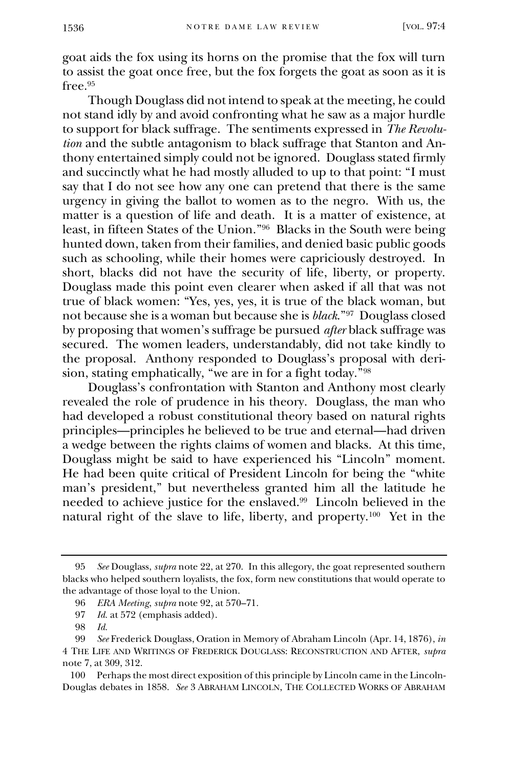goat aids the fox using its horns on the promise that the fox will turn to assist the goat once free, but the fox forgets the goat as soon as it is free.<sup>95</sup>

Though Douglass did not intend to speak at the meeting, he could not stand idly by and avoid confronting what he saw as a major hurdle to support for black suffrage. The sentiments expressed in *The Revolution* and the subtle antagonism to black suffrage that Stanton and Anthony entertained simply could not be ignored. Douglass stated firmly and succinctly what he had mostly alluded to up to that point: "I must say that I do not see how any one can pretend that there is the same urgency in giving the ballot to women as to the negro. With us, the matter is a question of life and death. It is a matter of existence, at least, in fifteen States of the Union."<sup>96</sup> Blacks in the South were being hunted down, taken from their families, and denied basic public goods such as schooling, while their homes were capriciously destroyed. In short, blacks did not have the security of life, liberty, or property. Douglass made this point even clearer when asked if all that was not true of black women: "Yes, yes, yes, it is true of the black woman, but not because she is a woman but because she is *black*."<sup>97</sup> Douglass closed by proposing that women's suffrage be pursued *after* black suffrage was secured. The women leaders, understandably, did not take kindly to the proposal. Anthony responded to Douglass's proposal with derision, stating emphatically, "we are in for a fight today."<sup>98</sup>

Douglass's confrontation with Stanton and Anthony most clearly revealed the role of prudence in his theory. Douglass, the man who had developed a robust constitutional theory based on natural rights principles—principles he believed to be true and eternal—had driven a wedge between the rights claims of women and blacks. At this time, Douglass might be said to have experienced his "Lincoln" moment. He had been quite critical of President Lincoln for being the "white man's president," but nevertheless granted him all the latitude he needed to achieve justice for the enslaved.<sup>99</sup> Lincoln believed in the natural right of the slave to life, liberty, and property.<sup>100</sup> Yet in the

<sup>95</sup> *See* Douglass, *supra* note 22, at 270. In this allegory, the goat represented southern blacks who helped southern loyalists, the fox, form new constitutions that would operate to the advantage of those loyal to the Union.

<sup>96</sup> *ERA Meeting*, *supra* note 92, at 570–71.

<sup>97</sup> *Id.* at 572 (emphasis added).

<sup>98</sup> *Id.*

<sup>99</sup> *See* Frederick Douglass, Oration in Memory of Abraham Lincoln (Apr. 14, 1876), *in*  4 THE LIFE AND WRITINGS OF FREDERICK DOUGLASS: RECONSTRUCTION AND AFTER, *supra*  note 7, at 309, 312.

<sup>100</sup> Perhaps the most direct exposition of this principle by Lincoln came in the Lincoln-Douglas debates in 1858. *See* 3 ABRAHAM LINCOLN, THE COLLECTED WORKS OF ABRAHAM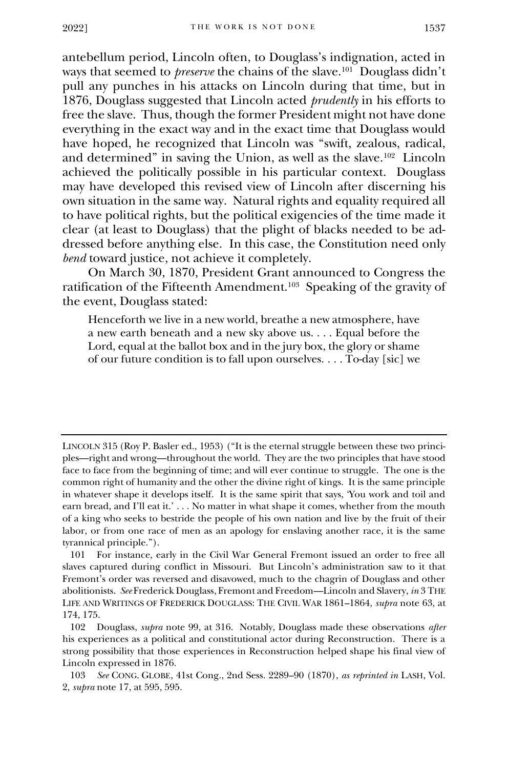antebellum period, Lincoln often, to Douglass's indignation, acted in ways that seemed to *preserve* the chains of the slave.<sup>101</sup> Douglass didn't pull any punches in his attacks on Lincoln during that time, but in 1876, Douglass suggested that Lincoln acted *prudently* in his efforts to free the slave. Thus, though the former President might not have done everything in the exact way and in the exact time that Douglass would have hoped, he recognized that Lincoln was "swift, zealous, radical, and determined" in saving the Union, as well as the slave.<sup>102</sup> Lincoln achieved the politically possible in his particular context. Douglass may have developed this revised view of Lincoln after discerning his own situation in the same way. Natural rights and equality required all to have political rights, but the political exigencies of the time made it clear (at least to Douglass) that the plight of blacks needed to be addressed before anything else. In this case, the Constitution need only *bend* toward justice, not achieve it completely.

On March 30, 1870, President Grant announced to Congress the ratification of the Fifteenth Amendment.<sup>103</sup> Speaking of the gravity of the event, Douglass stated:

Henceforth we live in a new world, breathe a new atmosphere, have a new earth beneath and a new sky above us. . . . Equal before the Lord, equal at the ballot box and in the jury box, the glory or shame of our future condition is to fall upon ourselves. . . . To-day [sic] we

LINCOLN 315 (Roy P. Basler ed., 1953) ("It is the eternal struggle between these two principles—right and wrong—throughout the world. They are the two principles that have stood face to face from the beginning of time; and will ever continue to struggle. The one is the common right of humanity and the other the divine right of kings. It is the same principle in whatever shape it develops itself. It is the same spirit that says, 'You work and toil and earn bread, and I'll eat it.' . . . No matter in what shape it comes, whether from the mouth of a king who seeks to bestride the people of his own nation and live by the fruit of their labor, or from one race of men as an apology for enslaving another race, it is the same tyrannical principle.").

<sup>101</sup> For instance, early in the Civil War General Fremont issued an order to free all slaves captured during conflict in Missouri. But Lincoln's administration saw to it that Fremont's order was reversed and disavowed, much to the chagrin of Douglass and other abolitionists. *See* Frederick Douglass, Fremont and Freedom—Lincoln and Slavery, *in* 3 THE LIFE AND WRITINGS OF FREDERICK DOUGLASS: THE CIVIL WAR 1861–1864, *supra* note 63, at 174, 175.

<sup>102</sup> Douglass, *supra* note 99, at 316. Notably, Douglass made these observations *after* his experiences as a political and constitutional actor during Reconstruction. There is a strong possibility that those experiences in Reconstruction helped shape his final view of Lincoln expressed in 1876.

<sup>103</sup> *See* CONG. GLOBE, 41st Cong., 2nd Sess. 2289–90 (1870), *as reprinted in* LASH, Vol. 2, *supra* note 17, at 595, 595.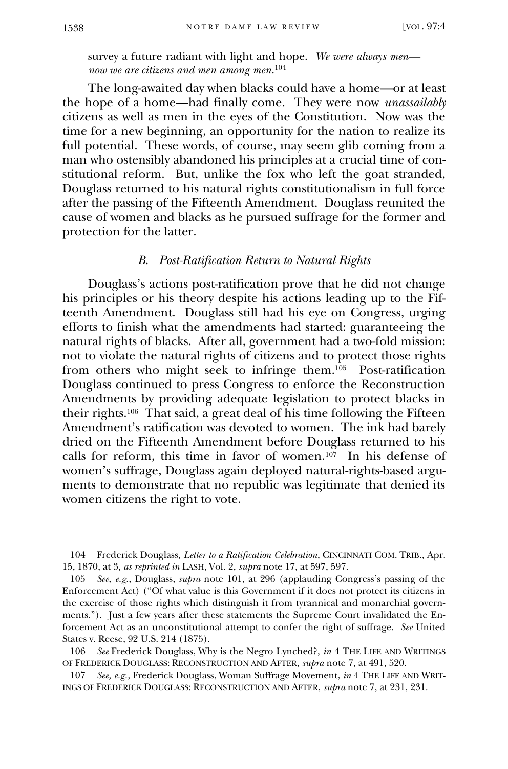survey a future radiant with light and hope. *We were always men now we are citizens and men among men*. 104

The long-awaited day when blacks could have a home—or at least the hope of a home—had finally come. They were now *unassailably* citizens as well as men in the eyes of the Constitution. Now was the time for a new beginning, an opportunity for the nation to realize its full potential. These words, of course, may seem glib coming from a man who ostensibly abandoned his principles at a crucial time of constitutional reform. But, unlike the fox who left the goat stranded, Douglass returned to his natural rights constitutionalism in full force after the passing of the Fifteenth Amendment. Douglass reunited the cause of women and blacks as he pursued suffrage for the former and protection for the latter.

### *B. Post-Ratification Return to Natural Rights*

Douglass's actions post-ratification prove that he did not change his principles or his theory despite his actions leading up to the Fifteenth Amendment. Douglass still had his eye on Congress, urging efforts to finish what the amendments had started: guaranteeing the natural rights of blacks. After all, government had a two-fold mission: not to violate the natural rights of citizens and to protect those rights from others who might seek to infringe them.<sup>105</sup> Post-ratification Douglass continued to press Congress to enforce the Reconstruction Amendments by providing adequate legislation to protect blacks in their rights.<sup>106</sup> That said, a great deal of his time following the Fifteen Amendment's ratification was devoted to women. The ink had barely dried on the Fifteenth Amendment before Douglass returned to his calls for reform, this time in favor of women.<sup>107</sup> In his defense of women's suffrage, Douglass again deployed natural-rights-based arguments to demonstrate that no republic was legitimate that denied its women citizens the right to vote.

<sup>104</sup> Frederick Douglass, *Letter to a Ratification Celebration*, CINCINNATI COM. TRIB., Apr. 15, 1870, at 3, *as reprinted in* LASH, Vol. 2, *supra* note 17, at 597, 597.

<sup>105</sup> *See, e.g.*, Douglass, *supra* note 101, at 296 (applauding Congress's passing of the Enforcement Act) ("Of what value is this Government if it does not protect its citizens in the exercise of those rights which distinguish it from tyrannical and monarchial governments."). Just a few years after these statements the Supreme Court invalidated the Enforcement Act as an unconstitutional attempt to confer the right of suffrage. *See* United States v. Reese, 92 U.S. 214 (1875).

<sup>106</sup> *See* Frederick Douglass, Why is the Negro Lynched?, *in* 4 THE LIFE AND WRITINGS OF FREDERICK DOUGLASS: RECONSTRUCTION AND AFTER, *supra* note 7, at 491, 520.

<sup>107</sup> *See, e.g.*, Frederick Douglass, Woman Suffrage Movement, *in* 4 THE LIFE AND WRIT-INGS OF FREDERICK DOUGLASS: RECONSTRUCTION AND AFTER, *supra* note 7, at 231, 231.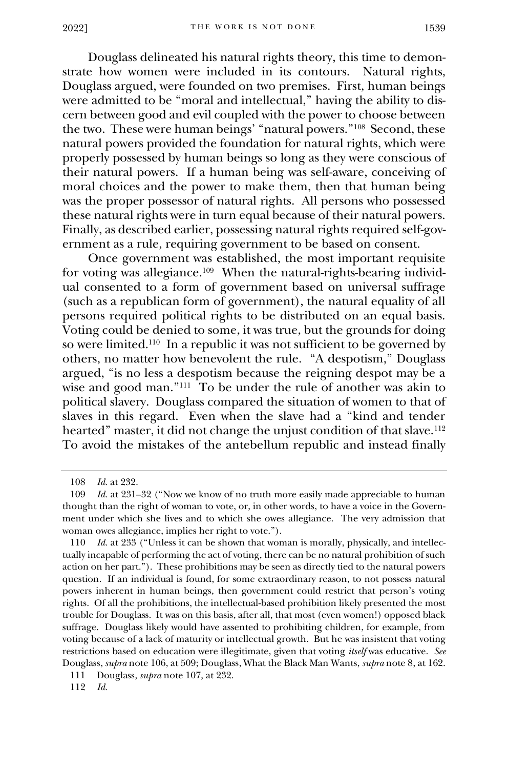Douglass delineated his natural rights theory, this time to demonstrate how women were included in its contours. Natural rights, Douglass argued, were founded on two premises. First, human beings were admitted to be "moral and intellectual," having the ability to discern between good and evil coupled with the power to choose between the two. These were human beings' "natural powers."<sup>108</sup> Second, these natural powers provided the foundation for natural rights, which were properly possessed by human beings so long as they were conscious of their natural powers. If a human being was self-aware, conceiving of moral choices and the power to make them, then that human being was the proper possessor of natural rights. All persons who possessed these natural rights were in turn equal because of their natural powers. Finally, as described earlier, possessing natural rights required self-government as a rule, requiring government to be based on consent.

Once government was established, the most important requisite for voting was allegiance.<sup>109</sup> When the natural-rights-bearing individual consented to a form of government based on universal suffrage (such as a republican form of government), the natural equality of all persons required political rights to be distributed on an equal basis. Voting could be denied to some, it was true, but the grounds for doing so were limited.<sup>110</sup> In a republic it was not sufficient to be governed by others, no matter how benevolent the rule. "A despotism," Douglass argued, "is no less a despotism because the reigning despot may be a wise and good man."<sup>111</sup> To be under the rule of another was akin to political slavery. Douglass compared the situation of women to that of slaves in this regard. Even when the slave had a "kind and tender hearted" master, it did not change the unjust condition of that slave.<sup>112</sup> To avoid the mistakes of the antebellum republic and instead finally

<sup>108</sup> *Id.* at 232.

<sup>109</sup> *Id.* at 231–32 ("Now we know of no truth more easily made appreciable to human thought than the right of woman to vote, or, in other words, to have a voice in the Government under which she lives and to which she owes allegiance. The very admission that woman owes allegiance, implies her right to vote.").

<sup>110</sup> *Id.* at 233 ("Unless it can be shown that woman is morally, physically, and intellectually incapable of performing the act of voting, there can be no natural prohibition of such action on her part."). These prohibitions may be seen as directly tied to the natural powers question. If an individual is found, for some extraordinary reason, to not possess natural powers inherent in human beings, then government could restrict that person's voting rights. Of all the prohibitions, the intellectual-based prohibition likely presented the most trouble for Douglass. It was on this basis, after all, that most (even women!) opposed black suffrage. Douglass likely would have assented to prohibiting children, for example, from voting because of a lack of maturity or intellectual growth. But he was insistent that voting restrictions based on education were illegitimate, given that voting *itself* was educative. *See* Douglass, *supra* note 106, at 509; Douglass, What the Black Man Wants, *supra* note 8, at 162.

<sup>111</sup> Douglass, *supra* note 107, at 232.

<sup>112</sup> *Id.*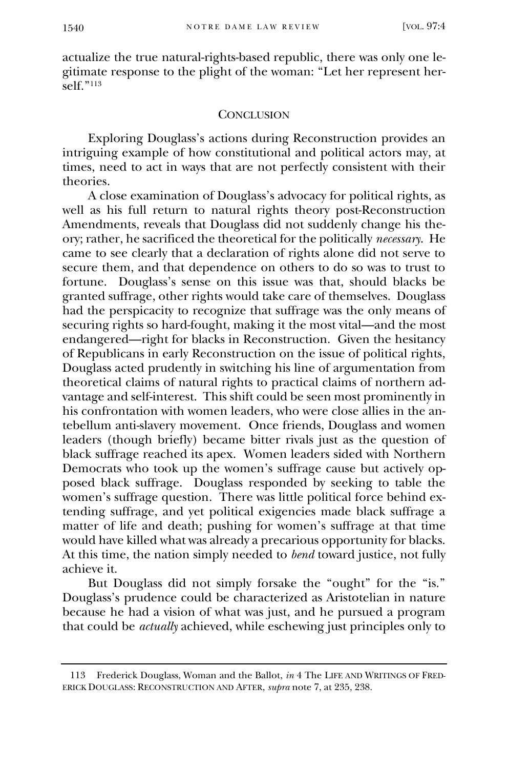actualize the true natural-rights-based republic, there was only one legitimate response to the plight of the woman: "Let her represent herself $"113$ 

#### **CONCLUSION**

Exploring Douglass's actions during Reconstruction provides an intriguing example of how constitutional and political actors may, at times, need to act in ways that are not perfectly consistent with their theories.

A close examination of Douglass's advocacy for political rights, as well as his full return to natural rights theory post-Reconstruction Amendments, reveals that Douglass did not suddenly change his theory; rather, he sacrificed the theoretical for the politically *necessary*. He came to see clearly that a declaration of rights alone did not serve to secure them, and that dependence on others to do so was to trust to fortune. Douglass's sense on this issue was that, should blacks be granted suffrage, other rights would take care of themselves. Douglass had the perspicacity to recognize that suffrage was the only means of securing rights so hard-fought, making it the most vital—and the most endangered—right for blacks in Reconstruction. Given the hesitancy of Republicans in early Reconstruction on the issue of political rights, Douglass acted prudently in switching his line of argumentation from theoretical claims of natural rights to practical claims of northern advantage and self-interest. This shift could be seen most prominently in his confrontation with women leaders, who were close allies in the antebellum anti-slavery movement. Once friends, Douglass and women leaders (though briefly) became bitter rivals just as the question of black suffrage reached its apex. Women leaders sided with Northern Democrats who took up the women's suffrage cause but actively opposed black suffrage. Douglass responded by seeking to table the women's suffrage question. There was little political force behind extending suffrage, and yet political exigencies made black suffrage a matter of life and death; pushing for women's suffrage at that time would have killed what was already a precarious opportunity for blacks. At this time, the nation simply needed to *bend* toward justice, not fully achieve it.

But Douglass did not simply forsake the "ought" for the "is." Douglass's prudence could be characterized as Aristotelian in nature because he had a vision of what was just, and he pursued a program that could be *actually* achieved, while eschewing just principles only to

<sup>113</sup> Frederick Douglass, Woman and the Ballot, *in* 4 The LIFE AND WRITINGS OF FRED-ERICK DOUGLASS: RECONSTRUCTION AND AFTER, *supra* note 7, at 235, 238.